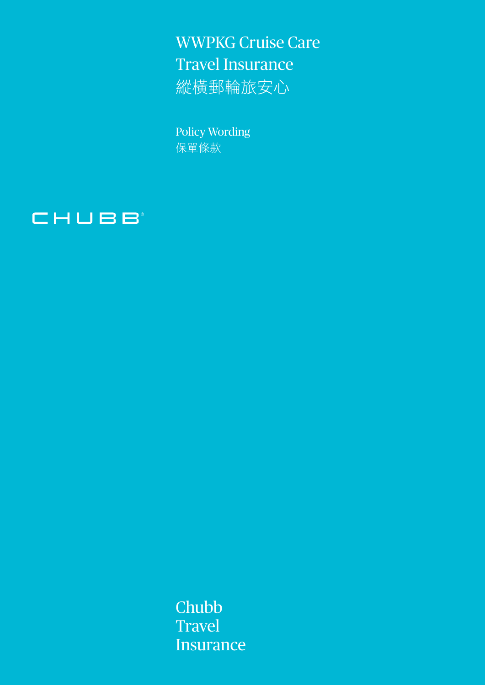WWPKG Cruise Care Travel Insurance 縱橫郵輪旅安心

Policy Wording 保單條款



Chubb **Travel Insurance**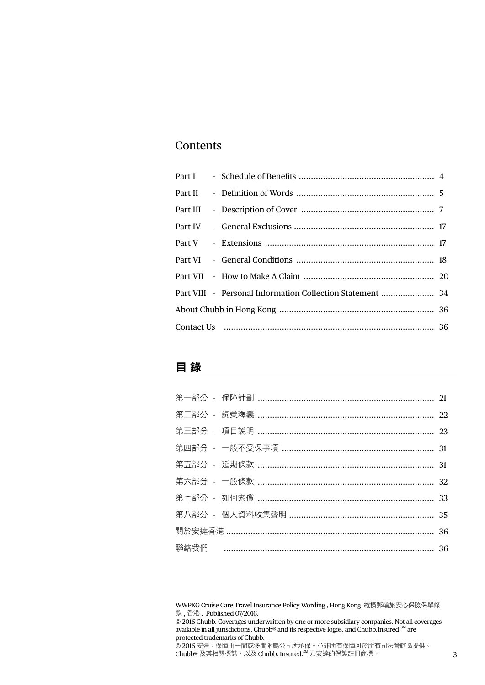## **Contents**

|  | Part VIII - Personal Information Collection Statement  34 |  |
|--|-----------------------------------------------------------|--|
|  |                                                           |  |
|  |                                                           |  |

# 目 錄

| 聯絡我們  ……………………………………………………………………… 36 |  |
|--------------------------------------|--|
|                                      |  |

WWPKG Cruise Care Travel Insurance Policy Wording , Hong Kong 縱橫郵輪旅安心保險保單條 款 , 香港 . Published 07/2016.

<sup>© 2016</sup> Chubb. Coverages underwritten by one or more subsidiary companies. Not all coverages available in all jurisdictions. Chubb® and its respective logos, and Chubb.Insured.<sup>SM</sup> are protected trademarks of Chubb.

<sup>© 2016</sup> 安達。保障由一間或多間附屬公司所承保。並非所有保障可於所有司法管轄區提供。 Chubb® 及其相關標誌,以及 Chubb. Insured.SM 乃安達的保護註冊商標。 3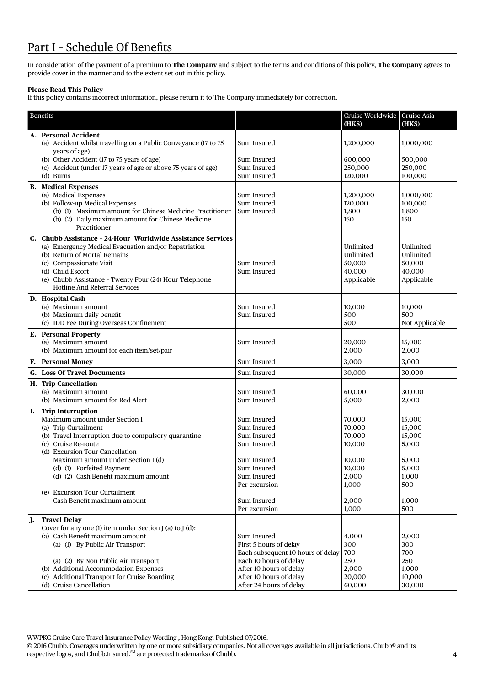# Part I – Schedule Of Benefits

In consideration of the payment of a premium to **The Company** and subject to the terms and conditions of this policy, **The Company** agrees to provide cover in the manner and to the extent set out in this policy.

## **Please Read This Policy**

If this policy contains incorrect information, please return it to The Company immediately for correction.

| Benefits |                                                                                       |                                                   | Cruise Worldwide   Cruise Asia<br>(HK\$) | (HK\$)          |
|----------|---------------------------------------------------------------------------------------|---------------------------------------------------|------------------------------------------|-----------------|
|          | A. Personal Accident                                                                  |                                                   |                                          |                 |
|          | (a) Accident whilst travelling on a Public Conveyance (17 to 75<br>years of age)      | Sum Insured                                       | 1,200,000                                | 1,000,000       |
|          | (b) Other Accident (17 to 75 years of age)                                            | Sum Insured                                       | 600,000                                  | 500,000         |
|          | (c) Accident (under 17 years of age or above 75 years of age)                         | Sum Insured                                       | 250,000                                  | 250,000         |
|          | (d) Burns                                                                             | Sum Insured                                       | 120,000                                  | 100,000         |
|          | <b>B.</b> Medical Expenses                                                            |                                                   |                                          |                 |
|          | (a) Medical Expenses                                                                  | Sum Insured                                       | 1,200,000                                | 1,000,000       |
|          | (b) Follow-up Medical Expenses                                                        | Sum Insured                                       | 120,000                                  | 100,000         |
|          | (b) (1) Maximum amount for Chinese Medicine Practitioner                              | Sum Insured                                       | 1,800                                    | 1,800           |
|          | (b) (2) Daily maximum amount for Chinese Medicine<br>Practitioner                     |                                                   | 150                                      | 150             |
|          | C. Chubb Assistance - 24 Hour Worldwide Assistance Services                           |                                                   |                                          |                 |
|          | (a) Emergency Medical Evacuation and/or Repatriation                                  |                                                   | Unlimited                                | Unlimited       |
|          | (b) Return of Mortal Remains                                                          |                                                   | Unlimited                                | Unlimited       |
|          | (c) Compassionate Visit                                                               | Sum Insured                                       | 50,000                                   | 50,000          |
|          | (d) Child Escort                                                                      | Sum Insured                                       | 40,000                                   | 40,000          |
|          | (e) Chubb Assistance - Twenty Four (24) Hour Telephone                                |                                                   | Applicable                               | Applicable      |
|          | Hotline And Referral Services                                                         |                                                   |                                          |                 |
|          | D. Hospital Cash                                                                      |                                                   |                                          |                 |
|          | (a) Maximum amount                                                                    | Sum Insured                                       | 10,000                                   | 10,000          |
|          | (b) Maximum daily benefit                                                             | Sum Insured                                       | 500                                      | 500             |
|          | (c) IDD Fee During Overseas Confinement                                               |                                                   | 500                                      | Not Applicable  |
|          | <b>E.</b> Personal Property                                                           |                                                   |                                          |                 |
|          | (a) Maximum amount                                                                    | Sum Insured                                       | 20,000                                   | 15,000          |
|          | (b) Maximum amount for each item/set/pair                                             |                                                   | 2,000                                    | 2,000           |
|          | F. Personal Money                                                                     | Sum Insured                                       | 3,000                                    | 3,000           |
|          | G. Loss Of Travel Documents                                                           | Sum Insured                                       | 30,000                                   | 30,000          |
|          | H. Trip Cancellation                                                                  |                                                   |                                          |                 |
|          | (a) Maximum amount                                                                    | Sum Insured                                       | 60,000                                   | 30,000          |
|          | (b) Maximum amount for Red Alert                                                      | Sum Insured                                       | 5,000                                    | 2,000           |
| Ι.       | <b>Trip Interruption</b>                                                              |                                                   |                                          |                 |
|          | Maximum amount under Section I                                                        | Sum Insured                                       | 70,000                                   | 15,000          |
|          | (a) Trip Curtailment                                                                  | Sum Insured                                       | 70,000                                   | 15,000          |
|          | (b) Travel Interruption due to compulsory quarantine                                  | Sum Insured                                       | 70,000                                   | 15,000          |
|          | (c) Cruise Re-route<br>(d) Excursion Tour Cancellation                                | Sum Insured                                       | 10,000                                   | 5,000           |
|          | Maximum amount under Section I (d)                                                    | Sum Insured                                       | 10,000                                   | 5,000           |
|          | (d) (1) Forfeited Payment                                                             | Sum Insured                                       | 10,000                                   | 5.000           |
|          | (d) (2) Cash Benefit maximum amount                                                   | Sum Insured                                       | 2,000                                    | 1,000           |
|          |                                                                                       | Per excursion                                     | 1,000                                    | 500             |
|          | (e) Excursion Tour Curtailment                                                        |                                                   |                                          |                 |
|          | Cash Benefit maximum amount                                                           | Sum Insured                                       | 2,000                                    | 1,000           |
|          |                                                                                       | Per excursion                                     | 1,000                                    | 500             |
| J.       | <b>Travel Delay</b>                                                                   |                                                   |                                          |                 |
|          | Cover for any one (1) item under Section J (a) to J (d):                              |                                                   |                                          |                 |
|          | (a) Cash Benefit maximum amount                                                       | Sum Insured                                       | 4,000                                    | 2,000           |
|          | (a) (1) By Public Air Transport                                                       | First 5 hours of delay                            | 300                                      | 300             |
|          |                                                                                       | Each subsequent 10 hours of delay                 | 700                                      | 700             |
|          | (a) (2) By Non Public Air Transport                                                   | Each 10 hours of delay<br>After 10 hours of delay | 250                                      | 250             |
|          | (b) Additional Accommodation Expenses<br>(c) Additional Transport for Cruise Boarding | After 10 hours of delay                           | 2,000<br>20,000                          | 1,000<br>10,000 |
|          | (d) Cruise Cancellation                                                               | After 24 hours of delay                           | 60,000                                   | 30,000          |

WWPKG Cruise Care Travel Insurance Policy Wording , Hong Kong. Published 07/2016.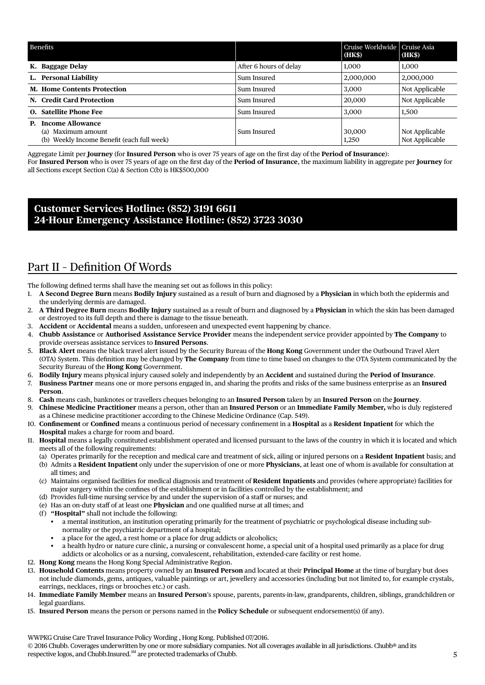| Benefits                                                                                          |                        | Cruise Worldwide   Cruise Asia<br>(HK\$) | (HK\$)                           |
|---------------------------------------------------------------------------------------------------|------------------------|------------------------------------------|----------------------------------|
| K. Baggage Delay                                                                                  | After 6 hours of delay | 1.000                                    | 1,000                            |
| L. Personal Liability                                                                             | Sum Insured            | 2,000,000                                | 2,000,000                        |
| <b>M. Home Contents Protection</b>                                                                | Sum Insured            | 3,000                                    | Not Applicable                   |
| N. Credit Card Protection                                                                         | Sum Insured            | 20,000                                   | Not Applicable                   |
| <b>O.</b> Satellite Phone Fee                                                                     | Sum Insured            | 3,000                                    | 1.500                            |
| <b>Income Allowance</b><br>P.<br>(a) Maximum amount<br>(b) Weekly Income Benefit (each full week) | Sum Insured            | 30,000<br>1,250                          | Not Applicable<br>Not Applicable |

Aggregate Limit per **Journey** (for **Insured Person** who is over 75 years of age on the first day of the **Period of Insurance**): For **Insured Person** who is over 75 years of age on the first day of the **Period of Insurance**, the maximum liability in aggregate per **Journey** for all Sections except Section C(a) & Section C(b) is HK\$500,000

## **Customer Services Hotline: (852) 3191 6611 24-Hour Emergency Assistance Hotline: (852) 3723 3030**

# Part II – Definition Of Words

The following defined terms shall have the meaning set out as follows in this policy:

- 1. **A Second Degree Burn** means **Bodily Injury** sustained as a result of burn and diagnosed by a **Physician** in which both the epidermis and the underlying dermis are damaged.
- 2. **A Third Degree Burn** means **Bodily Injury** sustained as a result of burn and diagnosed by a **Physician** in which the skin has been damaged or destroyed to its full depth and there is damage to the tissue beneath.
- 3. **Accident** or **Accidental** means a sudden, unforeseen and unexpected event happening by chance.
- 4. **Chubb Assistance** or **Authorised Assistance Service Provider** means the independent service provider appointed by **The Company** to provide overseas assistance services to **Insured Persons**.
- 5. **Black Alert** means the black travel alert issued by the Security Bureau of the **Hong Kong** Government under the Outbound Travel Alert (OTA) System. This definition may be changed by **The Company** from time to time based on changes to the OTA System communicated by the Security Bureau of the **Hong Kong** Government.
- 6. **Bodily Injury** means physical injury caused solely and independently by an **Accident** and sustained during the **Period of Insurance**.
- 7. **Business Partner** means one or more persons engaged in, and sharing the profits and risks of the same business enterprise as an **Insured Person**.
- 8. **Cash** means cash, banknotes or travellers cheques belonging to an **Insured Person** taken by an **Insured Person** on the **Journey**.
- 9. **Chinese Medicine Practitioner** means a person, other than an **Insured Person** or an **Immediate Family Member,** who is duly registered as a Chinese medicine practitioner according to the Chinese Medicine Ordinance (Cap. 549).
- 10. **Confinement** or **Confined** means a continuous period of necessary confinement in a **Hospital** as a **Resident Inpatient** for which the **Hospital** makes a charge for room and board.
- 11. **Hospital** means a legally constituted establishment operated and licensed pursuant to the laws of the country in which it is located and which meets all of the following requirements:
	- (a) Operates primarily for the reception and medical care and treatment of sick, ailing or injured persons on a **Resident Inpatient** basis; and
	- (b) Admits a **Resident Inpatient** only under the supervision of one or more **Physicians**, at least one of whom is available for consultation at all times; and
	- (c) Maintains organised facilities for medical diagnosis and treatment of **Resident Inpatients** and provides (where appropriate) facilities for major surgery within the confines of the establishment or in facilities controlled by the establishment; and
	- (d) Provides full-time nursing service by and under the supervision of a staff or nurses; and
	- (e) Has an on-duty staff of at least one **Physician** and one qualified nurse at all times; and
	- (f) "Hospital" shall not include the following:
		- a mental institution, an institution operating primarily for the treatment of psychiatric or psychological disease including subnormality or the psychiatric department of a hospital;
		- a place for the aged, a rest home or a place for drug addicts or alcoholics;
		- a health hydro or nature cure clinic, a nursing or convalescent home, a special unit of a hospital used primarily as a place for drug addicts or alcoholics or as a nursing, convalescent, rehabilitation, extended-care facility or rest home.
- 12. **Hong Kong** means the Hong Kong Special Administrative Region.
- 13. **Household Contents** means property owned by an **Insured Person** and located at their **Principal Home** at the time of burglary but does not include diamonds, gems, antiques, valuable paintings or art, jewellery and accessories (including but not limited to, for example crystals, earrings, necklaces, rings or brooches etc.) or cash.
- 14. **Immediate Family Member** means an **Insured Person**'s spouse, parents, parents-in-law, grandparents, children, siblings, grandchildren or legal guardians.
- 15. **Insured Person** means the person or persons named in the **Policy Schedule** or subsequent endorsement(s) (if any).

WWPKG Cruise Care Travel Insurance Policy Wording , Hong Kong. Published 07/2016.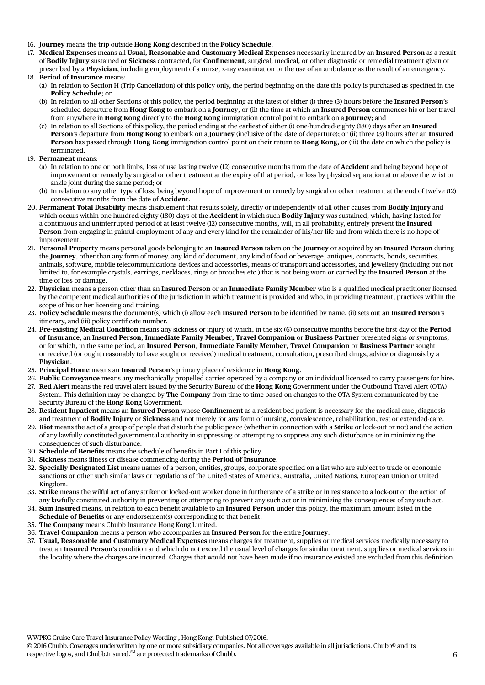- 16. **Journey** means the trip outside **Hong Kong** described in the **Policy Schedule**.
- 17. **Medical Expenses** means all **Usual**, **Reasonable and Customary Medical Expenses** necessarily incurred by an **Insured Person** as a result of **Bodily Injury** sustained or **Sickness** contracted, for **Confinement**, surgical, medical, or other diagnostic or remedial treatment given or prescribed by a **Physician**, including employment of a nurse, x-ray examination or the use of an ambulance as the result of an emergency.
- 18. **Period of Insurance** means:
	- (a) In relation to Section H (Trip Cancellation) of this policy only, the period beginning on the date this policy is purchased as specified in the **Policy Schedule**; or
	- (b) In relation to all other Sections of this policy, the period beginning at the latest of either (i) three (3) hours before the **Insured Person**'s scheduled departure from **Hong Kong** to embark on a **Journey**, or (ii) the time at which an **Insured Person** commences his or her travel from anywhere in **Hong Kong** directly to the **Hong Kong** immigration control point to embark on a **Journey**; and
	- (c) In relation to all Sections of this policy, the period ending at the earliest of either (i) one-hundred-eighty (180) days after an **Insured Person**'s departure from **Hong Kong** to embark on a **Journey** (inclusive of the date of departure); or (ii) three (3) hours after an **Insured Person** has passed through **Hong Kong** immigration control point on their return to **Hong Kong**, or (iii) the date on which the policy is terminated.
- 19. **Permanent** means:
	- (a) In relation to one or both limbs, loss of use lasting twelve (12) consecutive months from the date of **Accident** and being beyond hope of improvement or remedy by surgical or other treatment at the expiry of that period, or loss by physical separation at or above the wrist or ankle joint during the same period; or
	- (b) In relation to any other type of loss, being beyond hope of improvement or remedy by surgical or other treatment at the end of twelve (12) consecutive months from the date of **Accident**.
- 20. **Permanent Total Disability** means disablement that results solely, directly or independently of all other causes from **Bodily Injury** and which occurs within one hundred eighty (180) days of the **Accident** in which such **Bodily Injury** was sustained, which, having lasted for a continuous and uninterrupted period of at least twelve (12) consecutive months, will, in all probability, entirely prevent the **Insured Person** from engaging in gainful employment of any and every kind for the remainder of his/her life and from which there is no hope of improvement.
- 21. **Personal Property** means personal goods belonging to an **Insured Person** taken on the **Journey** or acquired by an **Insured Person** during the **Journey**, other than any form of money, any kind of document, any kind of food or beverage, antiques, contracts, bonds, securities, animals, software, mobile telecommunications devices and accessories, means of transport and accessories, and jewellery (including but not limited to, for example crystals, earrings, necklaces, rings or brooches etc.) that is not being worn or carried by the **Insured Person** at the time of loss or damage.
- 22. **Physician** means a person other than an **Insured Person** or an **Immediate Family Member** who is a qualified medical practitioner licensed by the competent medical authorities of the jurisdiction in which treatment is provided and who, in providing treatment, practices within the scope of his or her licensing and training.
- 23. **Policy Schedule** means the document(s) which (i) allow each **Insured Person** to be identified by name, (ii) sets out an **Insured Person**'s itinerary, and (iii) policy certificate number.
- 24. **Pre-existing Medical Condition** means any sickness or injury of which, in the six (6) consecutive months before the first day of the **Period of Insurance**, an **Insured Person**, **Immediate Family Member**, **Travel Companion** or **Business Partner** presented signs or symptoms, or for which, in the same period, an **Insured Person**, **Immediate Family Member**, **Travel Companion** or **Business Partner** sought or received (or ought reasonably to have sought or received) medical treatment, consultation, prescribed drugs, advice or diagnosis by a **Physician**.
- 25. **Principal Home** means an **Insured Person**'s primary place of residence in **Hong Kong**.
- 26. **Public Conveyance** means any mechanically propelled carrier operated by a company or an individual licensed to carry passengers for hire. 27. **Red Alert** means the red travel alert issued by the Security Bureau of the **Hong Kong** Government under the Outbound Travel Alert (OTA) System. This definition may be changed by **The Company** from time to time based on changes to the OTA System communicated by the Security Bureau of the **Hong Kong** Government.
- 28. **Resident Inpatient** means an **Insured Person** whose **Confinement** as a resident bed patient is necessary for the medical care, diagnosis and treatment of **Bodily Injury** or **Sickness** and not merely for any form of nursing, convalescence, rehabilitation, rest or extended-care.
- 29. **Riot** means the act of a group of people that disturb the public peace (whether in connection with a **Strike** or lock-out or not) and the action of any lawfully constituted governmental authority in suppressing or attempting to suppress any such disturbance or in minimizing the consequences of such disturbance.
- 30. **Schedule of Benefits** means the schedule of benefits in Part I of this policy.
- 31. **Sickness** means illness or disease commencing during the **Period of Insurance**.
- 32. **Specially Designated List** means names of a person, entities, groups, corporate specified on a list who are subject to trade or economic sanctions or other such similar laws or regulations of the United States of America, Australia, United Nations, European Union or United Kingdom.
- 33. **Strike** means the wilful act of any striker or locked-out worker done in furtherance of a strike or in resistance to a lock-out or the action of any lawfully constituted authority in preventing or attempting to prevent any such act or in minimizing the consequences of any such act.
- 34. **Sum Insured** means, in relation to each benefit available to an **Insured Person** under this policy, the maximum amount listed in the **Schedule of Benefits** or any endorsement(s) corresponding to that benefit.
- 35. **The Company** means Chubb Insurance Hong Kong Limited.
- 36. **Travel Companion** means a person who accompanies an **Insured Person** for the entire **Journey**.
- 37. **Usual, Reasonable and Customary Medical Expenses** means charges for treatment, supplies or medical services medically necessary to treat an **Insured Person**'s condition and which do not exceed the usual level of charges for similar treatment, supplies or medical services in the locality where the charges are incurred. Charges that would not have been made if no insurance existed are excluded from this definition.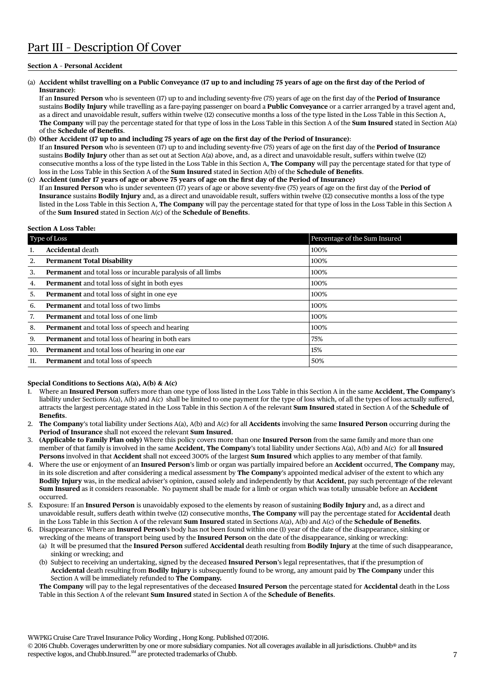## **Section A – Personal Accident**

## (a) **Accident whilst travelling on a Public Conveyance (17 up to and including 75 years of age on the first day of the Period of Insurance)**:

 If an **Insured Person** who is seventeen (17) up to and including seventy-five (75) years of age on the first day of the **Period of Insurance** sustains **Bodily Injury** while travelling as a fare-paying passenger on board a **Public Conveyance** or a carrier arranged by a travel agent and, as a direct and unavoidable result, suffers within twelve (12) consecutive months a loss of the type listed in the Loss Table in this Section A, **The Company** will pay the percentage stated for that type of loss in the Loss Table in this Section A of the **Sum Insured** stated in Section A(a) of the **Schedule of Benefits**.

- (b) **Other Accident (17 up to and including 75 years of age on the first day of the Period of Insurance)**: If an **Insured Person** who is seventeen (17) up to and including seventy-five (75) years of age on the first day of the **Period of Insurance** sustains **Bodily Injury** other than as set out at Section A(a) above, and, as a direct and unavoidable result, suffers within twelve (12) consecutive months a loss of the type listed in the Loss Table in this Section A, **The Company** will pay the percentage stated for that type of loss in the Loss Table in this Section A of the **Sum Insured** stated in Section A(b) of the **Schedule of Benefits**.
- (c) **Accident (under 17 years of age or above 75 years of age on the first day of the Period of Insurance)** If an **Insured Person** who is under seventeen (17) years of age or above seventy-five (75) years of age on the first day of the **Period of Insurance** sustains **Bodily Injury** and, as a direct and unavoidable result, suffers within twelve (12) consecutive months a loss of the type listed in the Loss Table in this Section A, **The Company** will pay the percentage stated for that type of loss in the Loss Table in this Section A of the **Sum Insured** stated in Section A(c) of the **Schedule of Benefits**.

## **Section A Loss Table:**

| Type of Loss |                                                                     | Percentage of the Sum Insured |
|--------------|---------------------------------------------------------------------|-------------------------------|
|              | <b>Accidental</b> death                                             | 100%                          |
|              | <b>Permanent Total Disability</b>                                   | 100%                          |
| 3.           | <b>Permanent</b> and total loss or incurable paralysis of all limbs | 100%                          |
| 4.           | <b>Permanent</b> and total loss of sight in both eyes               | 100%                          |
| 5.           | <b>Permanent</b> and total loss of sight in one eye                 | 100%                          |
| 6.           | <b>Permanent</b> and total loss of two limbs                        | 100%                          |
| 7.           | <b>Permanent</b> and total loss of one limb                         | 100%                          |
| 8.           | <b>Permanent</b> and total loss of speech and hearing               | 100%                          |
| 9.           | <b>Permanent</b> and total loss of hearing in both ears             | 75%                           |
| 10.          | <b>Permanent</b> and total loss of hearing in one ear               | 15%                           |
| 11.          | <b>Permanent</b> and total loss of speech                           | 50%                           |

## **Special Conditions to Sections A(a), A(b) & A(c)**

- 1. Where an **Insured Person** suffers more than one type of loss listed in the Loss Table in this Section A in the same **Accident**, **The Company**'s liability under Sections A(a), A(b) and A(c) shall be limited to one payment for the type of loss which, of all the types of loss actually suffered, attracts the largest percentage stated in the Loss Table in this Section A of the relevant **Sum Insured** stated in Section A of the **Schedule of Benefits**.
- 2. **The Company**'s total liability under Sections A(a), A(b) and A(c) for all **Accidents** involving the same **Insured Person** occurring during the **Period of Insurance** shall not exceed the relevant **Sum Insured**.
- 3. **(Applicable to Family Plan only)** Where this policy covers more than one **Insured Person** from the same family and more than one member of that family is involved in the same **Accident**, **The Company**'s total liability under Sections A(a), A(b) and A(c) for all **Insured Persons** involved in that **Accident** shall not exceed 300% of the largest **Sum Insured** which applies to any member of that family.
- 4. Where the use or enjoyment of an **Insured Person**'s limb or organ was partially impaired before an **Accident** occurred, **The Company** may, in its sole discretion and after considering a medical assessment by **The Company**'s appointed medical adviser of the extent to which any **Bodily Injury** was, in the medical adviser's opinion, caused solely and independently by that **Accident**, pay such percentage of the relevant **Sum Insured** as it considers reasonable. No payment shall be made for a limb or organ which was totally unusable before an **Accident**  occurred.
- 5. Exposure: If an **Insured Person** is unavoidably exposed to the elements by reason of sustaining **Bodily Injury** and, as a direct and unavoidable result, suffers death within twelve (12) consecutive months, **The Company** will pay the percentage stated for **Accidental** death in the Loss Table in this Section A of the relevant **Sum Insured** stated in Sections A(a), A(b) and A(c) of the **Schedule of Benefits**.
- 6. Disappearance: Where an **Insured Person**'s body has not been found within one (1) year of the date of the disappearance, sinking or wrecking of the means of transport being used by the **Insured Person** on the date of the disappearance, sinking or wrecking:
	- (a) It will be presumed that the **Insured Person** suffered **Accidental** death resulting from **Bodily Injury** at the time of such disappearance, sinking or wrecking; and
	- (b) Subject to receiving an undertaking, signed by the deceased **Insured Person**'s legal representatives, that if the presumption of **Accidental** death resulting from **Bodily Injury** is subsequently found to be wrong, any amount paid by **The Company** under this Section A will be immediately refunded to **The Company.**

 **The Company** will pay to the legal representatives of the deceased **Insured Person** the percentage stated for **Accidental** death in the Loss Table in this Section A of the relevant **Sum Insured** stated in Section A of the **Schedule of Benefits**.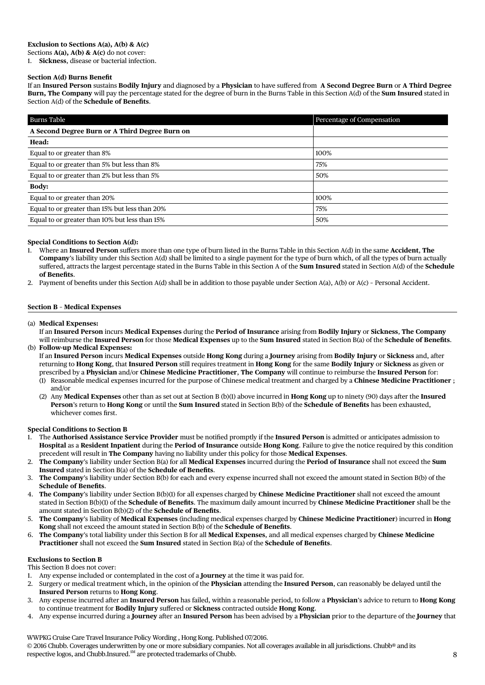## **Exclusion to Sections A(a), A(b) & A(c)**

Sections  $A(a)$ ,  $A(b)$  &  $A(c)$  do not cover:

1. **Sickness**, disease or bacterial infection.

## **Section A(d) Burns Benefit**

If an **Insured Person** sustains **Bodily Injury** and diagnosed by a **Physician** to have suffered from **A Second Degree Burn** or **A Third Degree Burn, The Company** will pay the percentage stated for the degree of burn in the Burns Table in this Section A(d) of the **Sum Insured** stated in Section A(d) of the **Schedule of Benefits**.

| <b>Burns Table</b>                             | Percentage of Compensation |
|------------------------------------------------|----------------------------|
| A Second Degree Burn or A Third Degree Burn on |                            |
| Head:                                          |                            |
| Equal to or greater than 8%                    | 100%                       |
| Equal to or greater than 5% but less than 8%   | 75%                        |
| Equal to or greater than 2% but less than 5%   | 50%                        |
| <b>Body:</b>                                   |                            |
| Equal to or greater than 20%                   | 100%                       |
| Equal to or greater than 15% but less than 20% | 75%                        |
| Equal to or greater than 10% but less than 15% | 50%                        |

## **Special Conditions to Section A(d):**

- 1. Where an **Insured Person** suffers more than one type of burn listed in the Burns Table in this Section A(d) in the same **Accident**, **The Company**'s liability under this Section A(d) shall be limited to a single payment for the type of burn which, of all the types of burn actually suffered, attracts the largest percentage stated in the Burns Table in this Section A of the **Sum Insured** stated in Section A(d) of the **Schedule of Benefits**.
- 2. Payment of benefits under this Section A(d) shall be in addition to those payable under Section A(a), A(b) or A(c) Personal Accident.

## **Section B – Medical Expenses**

## (a) **Medical Expenses:**

 If an **Insured Person** incurs **Medical Expenses** during the **Period of Insurance** arising from **Bodily Injury** or **Sickness**, **The Company** will reimburse the **Insured Person** for those **Medical Expenses** up to the **Sum Insured** stated in Section B(a) of the **Schedule of Benefits**. (b) **Follow-up Medical Expenses:**

- If an **Insured Person** incurs **Medical Expenses** outside **Hong Kong** during a **Journey** arising from **Bodily Injury** or **Sickness** and, after returning to **Hong Kong**, that **Insured Person** still requires treatment in **Hong Kong** for the same **Bodily Injury** or **Sickness** as given or prescribed by a **Physician** and/or **Chinese Medicine Practitioner**, **The Company** will continue to reimburse the **Insured Person** for:
	- (1) Reasonable medical expenses incurred for the purpose of Chinese medical treatment and charged by a **Chinese Medicine Practitioner** ; and/or
	- (2) Any **Medical Expenses** other than as set out at Section B (b)(1) above incurred in **Hong Kong** up to ninety (90) days after the **Insured Person**'s return to **Hong Kong** or until the **Sum Insured** stated in Section B(b) of the **Schedule of Benefits** has been exhausted, whichever comes first.

## **Special Conditions to Section B**

- 1. The **Authorised Assistance Service Provider** must be notified promptly if the **Insured Person** is admitted or anticipates admission to **Hospital** as a **Resident Inpatient** during the **Period of Insurance** outside **Hong Kong**. Failure to give the notice required by this condition precedent will result in **The Company** having no liability under this policy for those **Medical Expenses**.
- 2. **The Company**'s liability under Section B(a) for all **Medical Expenses** incurred during the **Period of Insurance** shall not exceed the **Sum Insured** stated in Section B(a) of the **Schedule of Benefits**.
- 3. **The Company**'s liability under Section B(b) for each and every expense incurred shall not exceed the amount stated in Section B(b) of the **Schedule of Benefits**.
- 4. **The Company**'s liability under Section B(b)(1) for all expenses charged by **Chinese Medicine Practitioner** shall not exceed the amount stated in Section B(b)(1) of the **Schedule of Benefits**. The maximum daily amount incurred by **Chinese Medicine Practitioner** shall be the amount stated in Section B(b)(2) of the **Schedule of Benefits**.
- 5. **The Company**'s liability of **Medical Expenses** (including medical expenses charged by **Chinese Medicine Practitioner**) incurred in **Hong Kong** shall not exceed the amount stated in Section B(b) of the **Schedule of Benefits**.
- 6. **The Company**'s total liability under this Section B for all **Medical Expenses**, and all medical expenses charged by **Chinese Medicine Practitioner** shall not exceed the **Sum Insured** stated in Section B(a) of the **Schedule of Benefits**.

## **Exclusions to Section B**

This Section B does not cover:

- 1. Any expense included or contemplated in the cost of a **Journey** at the time it was paid for.
- 2. Surgery or medical treatment which, in the opinion of the **Physician** attending the **Insured Person**, can reasonably be delayed until the **Insured Person** returns to **Hong Kong**.
- 3. Any expense incurred after an **Insured Person** has failed, within a reasonable period, to follow a **Physician**'s advice to return to **Hong Kong** to continue treatment for **Bodily Injury** suffered or **Sickness** contracted outside **Hong Kong**.
- 4. Any expense incurred during a **Journey** after an **Insured Person** has been advised by a **Physician** prior to the departure of the **Journey** that

WWPKG Cruise Care Travel Insurance Policy Wording , Hong Kong. Published 07/2016. © 2016 Chubb. Coverages underwritten by one or more subsidiary companies. Not all coverages available in all jurisdictions. Chubb® and its respective logos, and Chubb.Insured.<sup>SM</sup> are protected trademarks of Chubb.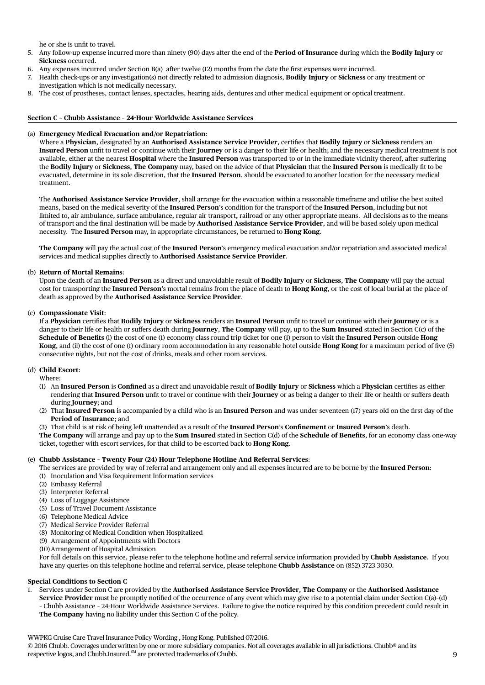he or she is unfit to travel.

- 5. Any follow-up expense incurred more than ninety (90) days after the end of the **Period of Insurance** during which the **Bodily Injury** or **Sickness** occurred.
- 6. Any expenses incurred under Section B(a) after twelve (12) months from the date the first expenses were incurred.
- 7. Health check-ups or any investigation(s) not directly related to admission diagnosis, **Bodily Injury** or **Sickness** or any treatment or investigation which is not medically necessary.
- 8. The cost of prostheses, contact lenses, spectacles, hearing aids, dentures and other medical equipment or optical treatment.

## **Section C – Chubb Assistance – 24-Hour Worldwide Assistance Services**

## (a) **Emergency Medical Evacuation and/or Repatriation**:

 Where a **Physician**, designated by an **Authorised Assistance Service Provider**, certifies that **Bodily Injury** or **Sickness** renders an **Insured Person** unfit to travel or continue with their **Journey** or is a danger to their life or health; and the necessary medical treatment is not available, either at the nearest **Hospital** where the **Insured Person** was transported to or in the immediate vicinity thereof, after suffering the **Bodily Injury** or **Sickness**, **The Company** may, based on the advice of that **Physician** that the **Insured Person** is medically fit to be evacuated, determine in its sole discretion, that the **Insured Person**, should be evacuated to another location for the necessary medical treatment.

 The **Authorised Assistance Service Provider**, shall arrange for the evacuation within a reasonable timeframe and utilise the best suited means, based on the medical severity of the **Insured Person**'s condition for the transport of the **Insured Person**, including but not limited to, air ambulance, surface ambulance, regular air transport, railroad or any other appropriate means. All decisions as to the means of transport and the final destination will be made by **Authorised Assistance Service Provider**, and will be based solely upon medical necessity. The **Insured Person** may, in appropriate circumstances, be returned to **Hong Kong**.

 **The Company** will pay the actual cost of the **Insured Person**'s emergency medical evacuation and/or repatriation and associated medical services and medical supplies directly to **Authorised Assistance Service Provider**.

## (b) **Return of Mortal Remains**:

 Upon the death of an **Insured Person** as a direct and unavoidable result of **Bodily Injury** or **Sickness**, **The Company** will pay the actual cost for transporting the **Insured Person**'s mortal remains from the place of death to **Hong Kong**, or the cost of local burial at the place of death as approved by the **Authorised Assistance Service Provider**.

## (c) **Compassionate Visit**:

 If a **Physician** certifies that **Bodily Injury** or **Sickness** renders an **Insured Person** unfit to travel or continue with their **Journey** or is a danger to their life or health or suffers death during **Journey**, **The Company** will pay, up to the **Sum Insured** stated in Section C(c) of the **Schedule of Benefits** (i) the cost of one (1) economy class round trip ticket for one (1) person to visit the **Insured Person** outside **Hong Kong**, and (ii) the cost of one (1) ordinary room accommodation in any reasonable hotel outside **Hong Kong** for a maximum period of five (5) consecutive nights, but not the cost of drinks, meals and other room services.

## (d) **Child Escort**:

Where:

- (1) An **Insured Person** is **Confined** as a direct and unavoidable result of **Bodily Injury** or **Sickness** which a **Physician** certifies as either rendering that **Insured Person** unfit to travel or continue with their **Journey** or as being a danger to their life or health or suffers death during **Journey**; and
- (2) That **Insured Person** is accompanied by a child who is an **Insured Person** and was under seventeen (17) years old on the first day of the **Period of Insurance**; and

(3) That child is at risk of being left unattended as a result of the **Insured Person**'s **Confinement** or **Insured Person**'s death.  **The Company** will arrange and pay up to the **Sum Insured** stated in Section C(d) of the **Schedule of Benefits**, for an economy class one-way ticket, together with escort services, for that child to be escorted back to **Hong Kong**.

## (e) **Chubb Assistance – Twenty Four (24) Hour Telephone Hotline And Referral Services**:

The services are provided by way of referral and arrangement only and all expenses incurred are to be borne by the **Insured Person**:

- (1) Inoculation and Visa Requirement Information services
- (2) Embassy Referral
- (3) Interpreter Referral
- (4) Loss of Luggage Assistance
- (5) Loss of Travel Document Assistance
- (6) Telephone Medical Advice
- (7) Medical Service Provider Referral
- (8) Monitoring of Medical Condition when Hospitalized
- (9) Arrangement of Appointments with Doctors
- (10)Arrangement of Hospital Admission

 For full details on this service, please refer to the telephone hotline and referral service information provided by **Chubb Assistance**. If you have any queries on this telephone hotline and referral service, please telephone **Chubb Assistance** on (852) 3723 3030.

## **Special Conditions to Section C**

1. Services under Section C are provided by the **Authorised Assistance Service Provider**, **The Company** or the **Authorised Assistance Service Provider** must be promptly notified of the occurrence of any event which may give rise to a potential claim under Section C(a)–(d) – Chubb Assistance – 24-Hour Worldwide Assistance Services. Failure to give the notice required by this condition precedent could result in **The Company** having no liability under this Section C of the policy.

WWPKG Cruise Care Travel Insurance Policy Wording , Hong Kong. Published 07/2016.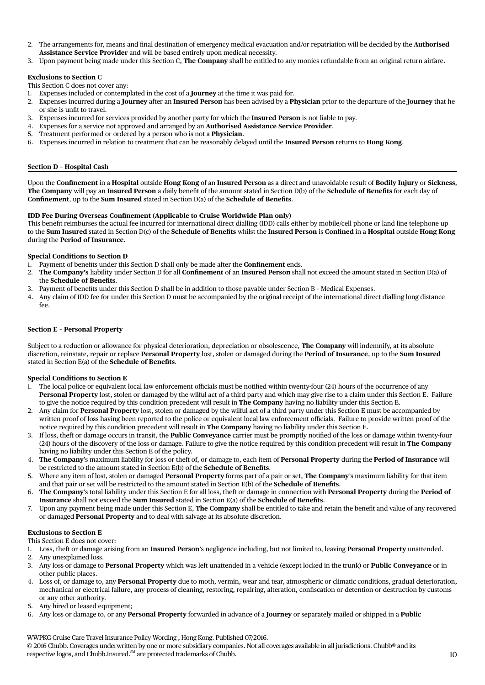- 2. The arrangements for, means and final destination of emergency medical evacuation and/or repatriation will be decided by the **Authorised Assistance Service Provider** and will be based entirely upon medical necessity.
- 3. Upon payment being made under this Section C, **The Company** shall be entitled to any monies refundable from an original return airfare.

## **Exclusions to Section C**

This Section C does not cover any:

- 1. Expenses included or contemplated in the cost of a **Journey** at the time it was paid for.
- 2. Expenses incurred during a **Journey** after an **Insured Person** has been advised by a **Physician** prior to the departure of the **Journey** that he or she is unfit to travel.
- 3. Expenses incurred for services provided by another party for which the **Insured Person** is not liable to pay.
- 4. Expenses for a service not approved and arranged by an **Authorised Assistance Service Provider**.
- 5. Treatment performed or ordered by a person who is not a **Physician**.
- 6. Expenses incurred in relation to treatment that can be reasonably delayed until the **Insured Person** returns to **Hong Kong**.

## **Section D – Hospital Cash**

Upon the **Confinement** in a **Hospital** outside **Hong Kong** of an **Insured Person** as a direct and unavoidable result of **Bodily Injury** or **Sickness**, **The Company** will pay an **Insured Person** a daily benefit of the amount stated in Section D(b) of the **Schedule of Benefits** for each day of **Confinement**, up to the **Sum Insured** stated in Section D(a) of the **Schedule of Benefits**.

## **IDD Fee During Overseas Confinement (Applicable to Cruise Worldwide Plan only)**

This benefit reimburses the actual fee incurred for international direct dialling (IDD) calls either by mobile/cell phone or land line telephone up to the **Sum Insured** stated in Section D(c) of the **Schedule of Benefits** whilst the **Insured Person** is **Confined** in a **Hospital** outside **Hong Kong** during the **Period of Insurance**.

## **Special Conditions to Section D**

- 1. Payment of benefits under this Section D shall only be made after the **Confinement** ends.
- 2. **The Company's** liability under Section D for all **Confinement** of an **Insured Person** shall not exceed the amount stated in Section D(a) of the **Schedule of Benefits**.
- 3. Payment of benefits under this Section D shall be in addition to those payable under Section B Medical Expenses.
- 4. Any claim of IDD fee for under this Section D must be accompanied by the original receipt of the international direct dialling long distance fee.

## **Section E – Personal Property**

Subject to a reduction or allowance for physical deterioration, depreciation or obsolescence, **The Company** will indemnify, at its absolute discretion, reinstate, repair or replace **Personal Property** lost, stolen or damaged during the **Period of Insurance**, up to the **Sum Insured** stated in Section E(a) of the **Schedule of Benefits**.

## **Special Conditions to Section E**

- 1. The local police or equivalent local law enforcement officials must be notified within twenty-four (24) hours of the occurrence of any **Personal Property** lost, stolen or damaged by the wilful act of a third party and which may give rise to a claim under this Section E. Failure to give the notice required by this condition precedent will result in **The Company** having no liability under this Section E.
- 2. Any claim for **Personal Property** lost, stolen or damaged by the wilful act of a third party under this Section E must be accompanied by written proof of loss having been reported to the police or equivalent local law enforcement officials. Failure to provide written proof of the notice required by this condition precedent will result in **The Company** having no liability under this Section E.
- 3. If loss, theft or damage occurs in transit, the **Public Conveyance** carrier must be promptly notified of the loss or damage within twenty-four (24) hours of the discovery of the loss or damage. Failure to give the notice required by this condition precedent will result in **The Company**  having no liability under this Section E of the policy.
- 4. **The Company**'s maximum liability for loss or theft of, or damage to, each item of **Personal Property** during the **Period of Insurance** will be restricted to the amount stated in Section E(b) of the **Schedule of Benefits**.
- 5. Where any item of lost, stolen or damaged **Personal Property** forms part of a pair or set, **The Company**'s maximum liability for that item and that pair or set will be restricted to the amount stated in Section E(b) of the **Schedule of Benefits**.
- 6. **The Company**'s total liability under this Section E for all loss, theft or damage in connection with **Personal Property** during the **Period of Insurance** shall not exceed the **Sum Insured** stated in Section E(a) of the **Schedule of Benefits**.
- 7. Upon any payment being made under this Section E, **The Company** shall be entitled to take and retain the benefit and value of any recovered or damaged **Personal Property** and to deal with salvage at its absolute discretion.

## **Exclusions to Section E**

This Section E does not cover:

- 1. Loss, theft or damage arising from an **Insured Person**'s negligence including, but not limited to, leaving **Personal Property** unattended.
- 2. Any unexplained loss.
- 3. Any loss or damage to **Personal Property** which was left unattended in a vehicle (except locked in the trunk) or **Public Conveyance** or in other public places.
- 4. Loss of, or damage to, any **Personal Property** due to moth, vermin, wear and tear, atmospheric or climatic conditions, gradual deterioration, mechanical or electrical failure, any process of cleaning, restoring, repairing, alteration, confiscation or detention or destruction by customs or any other authority.
- 5. Any hired or leased equipment;
- 6. Any loss or damage to, or any **Personal Property** forwarded in advance of a **Journey** or separately mailed or shipped in a **Public**

WWPKG Cruise Care Travel Insurance Policy Wording , Hong Kong. Published 07/2016.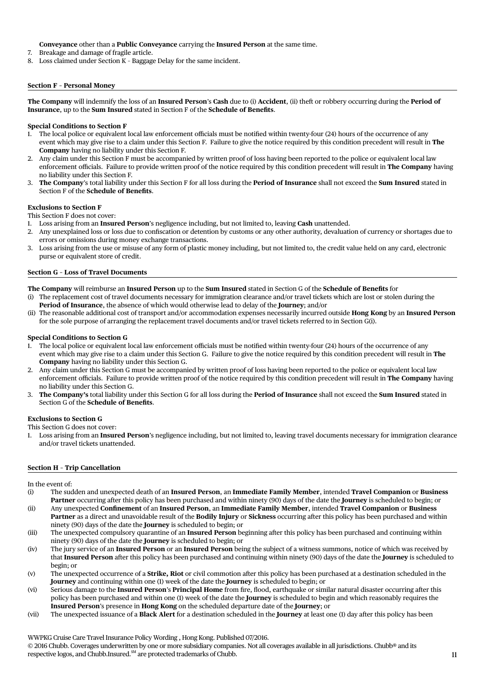**Conveyance** other than a **Public Conveyance** carrying the **Insured Person** at the same time.

7. Breakage and damage of fragile article.

8. Loss claimed under Section K – Baggage Delay for the same incident.

## **Section F – Personal Money**

**The Company** will indemnify the loss of an **Insured Person**'s **Cash** due to (i) **Accident**, (ii) theft or robbery occurring during the **Period of Insurance**, up to the **Sum Insured** stated in Section F of the **Schedule of Benefits**.

## **Special Conditions to Section F**

- 1. The local police or equivalent local law enforcement officials must be notified within twenty-four (24) hours of the occurrence of any event which may give rise to a claim under this Section F. Failure to give the notice required by this condition precedent will result in **The Company** having no liability under this Section F.
- 2. Any claim under this Section F must be accompanied by written proof of loss having been reported to the police or equivalent local law enforcement officials. Failure to provide written proof of the notice required by this condition precedent will result in **The Company** having no liability under this Section F.
- 3. **The Company**'s total liability under this Section F for all loss during the **Period of Insurance** shall not exceed the **Sum Insured** stated in Section F of the **Schedule of Benefits**.

## **Exclusions to Section F**

This Section F does not cover:

- 1. Loss arising from an **Insured Person**'s negligence including, but not limited to, leaving **Cash** unattended.
- 2. Any unexplained loss or loss due to confiscation or detention by customs or any other authority, devaluation of currency or shortages due to errors or omissions during money exchange transactions.
- 3. Loss arising from the use or misuse of any form of plastic money including, but not limited to, the credit value held on any card, electronic purse or equivalent store of credit.

## **Section G – Loss of Travel Documents**

**The Company** will reimburse an **Insured Person** up to the **Sum Insured** stated in Section G of the **Schedule of Benefits** for

- The replacement cost of travel documents necessary for immigration clearance and/or travel tickets which are lost or stolen during the **Period of Insurance**, the absence of which would otherwise lead to delay of the **Journey**; and/or
- (ii) The reasonable additional cost of transport and/or accommodation expenses necessarily incurred outside **Hong Kong** by an **Insured Person** for the sole purpose of arranging the replacement travel documents and/or travel tickets referred to in Section G(i).

## **Special Conditions to Section G**

- 1. The local police or equivalent local law enforcement officials must be notified within twenty-four (24) hours of the occurrence of any event which may give rise to a claim under this Section G. Failure to give the notice required by this condition precedent will result in **The Company** having no liability under this Section G.
- 2. Any claim under this Section G must be accompanied by written proof of loss having been reported to the police or equivalent local law enforcement officials. Failure to provide written proof of the notice required by this condition precedent will result in **The Company** having no liability under this Section G.
- 3. **The Company's** total liability under this Section G for all loss during the **Period of Insurance** shall not exceed the **Sum Insured** stated in Section G of the **Schedule of Benefits**.

## **Exclusions to Section G**

This Section G does not cover:

1. Loss arising from an **Insured Person**'s negligence including, but not limited to, leaving travel documents necessary for immigration clearance and/or travel tickets unattended.

## **Section H – Trip Cancellation**

## In the event of:

- (i) The sudden and unexpected death of an **Insured Person**, an **Immediate Family Member**, intended **Travel Companion** or **Business Partner** occurring after this policy has been purchased and within ninety (90) days of the date the **Journey** is scheduled to begin; or
- (ii) Any unexpected **Confinement** of an **Insured Person**, an **Immediate Family Member**, intended **Travel Companion** or **Business Partner** as a direct and unavoidable result of the **Bodily Injury** or **Sickness** occurring after this policy has been purchased and within ninety (90) days of the date the **Journey** is scheduled to begin; or
- (iii) The unexpected compulsory quarantine of an **Insured Person** beginning after this policy has been purchased and continuing within ninety (90) days of the date the **Journey** is scheduled to begin; or
- (iv) The jury service of an **Insured Person** or an **Insured Person** being the subject of a witness summons, notice of which was received by that **Insured Person** after this policy has been purchased and continuing within ninety (90) days of the date the **Journey** is scheduled to begin; or
- (v) The unexpected occurrence of a **Strike, Riot** or civil commotion after this policy has been purchased at a destination scheduled in the **Journey** and continuing within one (1) week of the date the **Journey** is scheduled to begin; or
- (vi) Serious damage to the **Insured Person**'s **Principal Home** from fire, flood, earthquake or similar natural disaster occurring after this policy has been purchased and within one (1) week of the date the **Journey** is scheduled to begin and which reasonably requires the **Insured Person**'s presence in **Hong Kong** on the scheduled departure date of the **Journey**; or
- (vii) The unexpected issuance of a **Black Alert** for a destination scheduled in the **Journey** at least one (1) day after this policy has been

## WWPKG Cruise Care Travel Insurance Policy Wording , Hong Kong. Published 07/2016.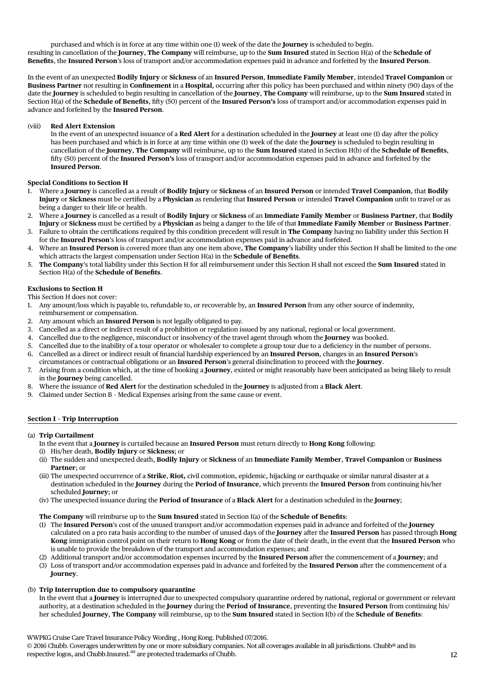purchased and which is in force at any time within one (1) week of the date the **Journey** is scheduled to begin. resulting in cancellation of the **Journey**, **The Company** will reimburse, up to the **Sum Insured** stated in Section H(a) of the **Schedule of Benefits**, the **Insured Person**'s loss of transport and/or accommodation expenses paid in advance and forfeited by the **Insured Person**.

In the event of an unexpected **Bodily Injury** or **Sickness** of an **Insured Person**, **Immediate Family Member**, intended **Travel Companion** or **Business Partner** not resulting in **Confinement** in a **Hospital**, occurring after this policy has been purchased and within ninety (90) days of the date the **Journey** is scheduled to begin resulting in cancellation of the **Journey**, **The Company** will reimburse, up to the **Sum Insured** stated in Section H(a) of the **Schedule of Benefits**, fifty (50) percent of the **Insured Person's** loss of transport and/or accommodation expenses paid in advance and forfeited by the **Insured Person**.

## (viii) **Red Alert Extension**

 In the event of an unexpected issuance of a **Red Alert** for a destination scheduled in the **Journey** at least one (1) day after the policy has been purchased and which is in force at any time within one (1) week of the date the **Journey** is scheduled to begin resulting in cancellation of the **Journey**, **The Company** will reimburse, up to the **Sum Insured** stated in Section H(b) of the **Schedule of Benefits**, fifty (50) percent of the **Insured Person's** loss of transport and/or accommodation expenses paid in advance and forfeited by the **Insured Person**.

## **Special Conditions to Section H**

- 1. Where a **Journey** is cancelled as a result of **Bodily Injury** or **Sickness** of an **Insured Person** or intended **Travel Companion**, that **Bodily Injury** or **Sickness** must be certified by a **Physician** as rendering that **Insured Person** or intended **Travel Companion** unfit to travel or as being a danger to their life or health.
- 2. Where a **Journey** is cancelled as a result of **Bodily Injury** or **Sickness** of an **Immediate Family Member** or **Business Partner**, that **Bodily Injury** or **Sickness** must be certified by a **Physician** as being a danger to the life of that **Immediate Family Member** or **Business Partner**.
- 3. Failure to obtain the certifications required by this condition precedent will result in **The Company** having no liability under this Section H for the **Insured Person**'s loss of transport and/or accommodation expenses paid in advance and forfeited.
- 4. Where an **Insured Person** is covered more than any one item above, **The Company**'s liability under this Section H shall be limited to the one which attracts the largest compensation under Section H(a) in the **Schedule of Benefits**.
- 5. **The Company**'s total liability under this Section H for all reimbursement under this Section H shall not exceed the **Sum Insured** stated in Section H(a) of the **Schedule of Benefits**.

## **Exclusions to Section H**

This Section H does not cover:

- 1. Any amount/loss which is payable to, refundable to, or recoverable by, an **Insured Person** from any other source of indemnity, reimbursement or compensation.
- 2. Any amount which an **Insured Person** is not legally obligated to pay.
- 3. Cancelled as a direct or indirect result of a prohibition or regulation issued by any national, regional or local government.
- 4. Cancelled due to the negligence, misconduct or insolvency of the travel agent through whom the **Journey** was booked.
- 5. Cancelled due to the inability of a tour operator or wholesaler to complete a group tour due to a deficiency in the number of persons.
- 6. Cancelled as a direct or indirect result of financial hardship experienced by an **Insured Person**, changes in an **Insured Person**'s circumstances or contractual obligations or an **Insured Person**'s general disinclination to proceed with the **Journey**.
- 7. Arising from a condition which, at the time of booking a **Journey**, existed or might reasonably have been anticipated as being likely to result in the **Journey** being cancelled.
- 8. Where the issuance of **Red Alert** for the destination scheduled in the **Journey** is adjusted from a **Black Alert**.
- 9. Claimed under Section B Medical Expenses arising from the same cause or event.

## **Section I – Trip Interruption**

## (a) **Trip Curtailment**

- In the event that a **Journey** is curtailed because an **Insured Person** must return directly to **Hong Kong** following:
- (i) His/her death, **Bodily Injury** or **Sickness**; or
- (ii) The sudden and unexpected death, **Bodily Injury** or **Sickness** of an **Immediate Family Member**, **Travel Companion** or **Business Partner**; or
- (iii) The unexpected occurrence of a **Strike**, **Riot,** civil commotion, epidemic, hijacking or earthquake or similar natural disaster at a destination scheduled in the **Journey** during the **Period of Insurance**, which prevents the **Insured Person** from continuing his/her scheduled **Journey**; or
- (iv) The unexpected issuance during the **Period of Insurance** of a **Black Alert** for a destination scheduled in the **Journey**;

## **The Company** will reimburse up to the **Sum Insured** stated in Section I(a) of the **Schedule of Benefits**:

- (1) The **Insured Person**'s cost of the unused transport and/or accommodation expenses paid in advance and forfeited of the **Journey**  calculated on a pro rata basis according to the number of unused days of the **Journey** after the **Insured Person** has passed through **Hong Kong** immigration control point on their return to **Hong Kong** or from the date of their death, in the event that the **Insured Person** who is unable to provide the breakdown of the transport and accommodation expenses; and
- (2) Additional transport and/or accommodation expenses incurred by the **Insured Person** after the commencement of a **Journey**; and
- (3) Loss of transport and/or accommodation expenses paid in advance and forfeited by the **Insured Person** after the commencement of a **Journey**.

## (b) **Trip Interruption due to compulsory quarantine**

 In the event that a **Journey** is interrupted due to unexpected compulsory quarantine ordered by national, regional or government or relevant authority, at a destination scheduled in the **Journey** during the **Period of Insurance**, preventing the **Insured Person** from continuing his/ her scheduled **Journey**, **The Company** will reimburse, up to the **Sum Insured** stated in Section I(b) of the **Schedule of Benefits**:

WWPKG Cruise Care Travel Insurance Policy Wording , Hong Kong. Published 07/2016.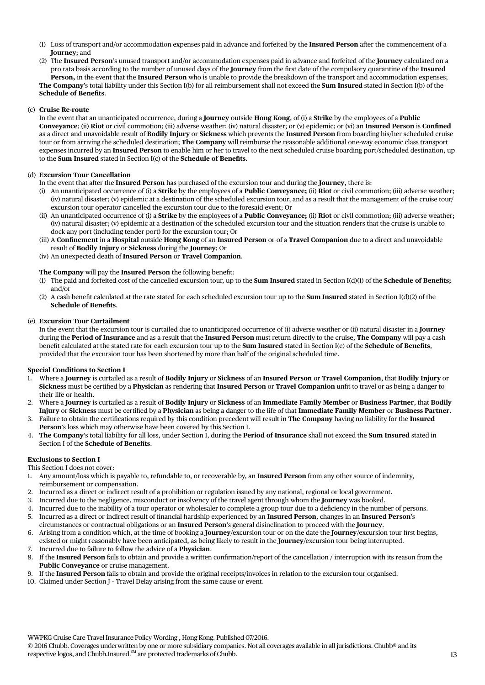- (1) Loss of transport and/or accommodation expenses paid in advance and forfeited by the **Insured Person** after the commencement of a **Journey**; and
- (2) The **Insured Person**'s unused transport and/or accommodation expenses paid in advance and forfeited of the **Journey** calculated on a pro rata basis according to the number of unused days of the **Journey** from the first date of the compulsory quarantine of the **Insured Person,** in the event that the **Insured Person** who is unable to provide the breakdown of the transport and accommodation expenses; **The Company**'s total liability under this Section I(b) for all reimbursement shall not exceed the **Sum Insured** stated in Section I(b) of the **Schedule of Benefits**.

## (c) **Cruise Re-route**

 In the event that an unanticipated occurrence, during a **Journey** outside **Hong Kong**, of (i) a **Strike** by the employees of a **Public Conveyance**; (ii) **Riot** or civil commotion; (iii) adverse weather; (iv) natural disaster; or (v) epidemic; or (vi) an **Insured Person** is **Confined** as a direct and unavoidable result of **Bodily Injury** or **Sickness** which prevents the **Insured Person** from boarding his/her scheduled cruise tour or from arriving the scheduled destination; **The Company** will reimburse the reasonable additional one-way economic class transport expenses incurred by an **Insured Person** to enable him or her to travel to the next scheduled cruise boarding port/scheduled destination, up to the **Sum Insured** stated in Section I(c) of the **Schedule of Benefits**.

## (d) **Excursion Tour Cancellation**

- In the event that after the **Insured Person** has purchased of the excursion tour and during the **Journey**, there is:
- (i) An unanticipated occurrence of (i) a **Strike** by the employees of a **Public Conveyance;** (ii) **Riot** or civil commotion; (iii) adverse weather; (iv) natural disaster; (v) epidemic at a destination of the scheduled excursion tour, and as a result that the management of the cruise tour/ excursion tour operator cancelled the excursion tour due to the foresaid event; Or
- (ii) An unanticipated occurrence of (i) a **Strike** by the employees of a **Public Conveyance;** (ii) **Riot** or civil commotion; (iii) adverse weather; (iv) natural disaster; (v) epidemic at a destination of the scheduled excursion tour and the situation renders that the cruise is unable to dock any port (including tender port) for the excursion tour; Or
- (iii) A **Confinement** in a **Hospital** outside **Hong Kong** of an **Insured Person** or of a **Travel Companion** due to a direct and unavoidable result of **Bodily Injury** or **Sickness** during the **Journey**; Or
- (iv) An unexpected death of **Insured Person** or **Travel Companion**.

## **The Company** will pay the **Insured Person** the following benefit:

- (1) The paid and forfeited cost of the cancelled excursion tour, up to the **Sum Insured** stated in Section I(d)(1) of the **Schedule of Benefits;** and/or
- (2) A cash benefit calculated at the rate stated for each scheduled excursion tour up to the **Sum Insured** stated in Section I(d)(2) of the **Schedule of Benefits**.

## (e) **Excursion Tour Curtailment**

In the event that the excursion tour is curtailed due to unanticipated occurrence of (i) adverse weather or (ii) natural disaster in a **Journey**  during the **Period of Insurance** and as a result that the **Insured Person** must return directly to the cruise, **The Company** will pay a cash benefit calculated at the stated rate for each excursion tour up to the **Sum Insured** stated in Section I(e) of the **Schedule of Benefits**, provided that the excursion tour has been shortened by more than half of the original scheduled time.

## **Special Conditions to Section I**

- 1. Where a **Journey** is curtailed as a result of **Bodily Injury** or **Sickness** of an **Insured Person** or **Travel Companion**, that **Bodily Injury** or **Sickness** must be certified by a **Physician** as rendering that **Insured Person** or **Travel Companion** unfit to travel or as being a danger to their life or health.
- 2. Where a **Journey** is curtailed as a result of **Bodily Injury** or **Sickness** of an **Immediate Family Member** or **Business Partner**, that **Bodily Injury** or **Sickness** must be certified by a **Physician** as being a danger to the life of that **Immediate Family Member** or **Business Partner**.
- 3. Failure to obtain the certifications required by this condition precedent will result in **The Company** having no liability for the **Insured Person**'s loss which may otherwise have been covered by this Section I.
- 4. **The Company**'s total liability for all loss, under Section I, during the **Period of Insurance** shall not exceed the **Sum Insured** stated in Section I of the **Schedule of Benefits**.

## **Exclusions to Section I**

- This Section I does not cover:
- 1. Any amount/loss which is payable to, refundable to, or recoverable by, an **Insured Person** from any other source of indemnity, reimbursement or compensation.
- 2. Incurred as a direct or indirect result of a prohibition or regulation issued by any national, regional or local government.
- 3. Incurred due to the negligence, misconduct or insolvency of the travel agent through whom the **Journey** was booked.
- 4. Incurred due to the inability of a tour operator or wholesaler to complete a group tour due to a deficiency in the number of persons. 5. Incurred as a direct or indirect result of financial hardship experienced by an **Insured Person**, changes in an **Insured Person**'s
- circumstances or contractual obligations or an **Insured Person**'s general disinclination to proceed with the **Journey**.
- 6. Arising from a condition which, at the time of booking a **Journey**/excursion tour or on the date the **Journey**/excursion tour first begins, existed or might reasonably have been anticipated, as being likely to result in the **Journey**/excursion tour being interrupted.
- 7. Incurred due to failure to follow the advice of a **Physician**.
- 8. If the **Insured Person** fails to obtain and provide a written confirmation/report of the cancellation / interruption with its reason from the **Public Conveyance** or cruise management.
- 9. If the **Insured Person** fails to obtain and provide the original receipts/invoices in relation to the excursion tour organised.
- 10. Claimed under Section J Travel Delay arising from the same cause or event.

WWPKG Cruise Care Travel Insurance Policy Wording , Hong Kong. Published 07/2016.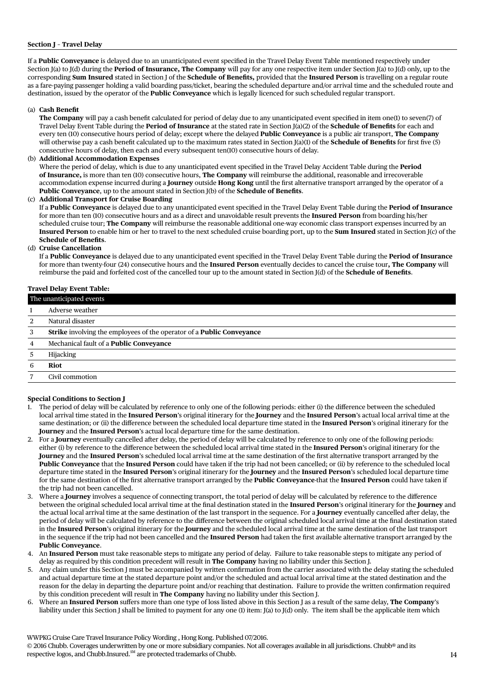## **Section J – Travel Delay**

If a **Public Conveyance** is delayed due to an unanticipated event specified in the Travel Delay Event Table mentioned respectively under Section J(a) to J(d) during the **Period of Insurance, The Company** will pay for any one respective item under Section J(a) to J(d) only, up to the corresponding **Sum Insured** stated in Section J of the **Schedule of Benefits,** provided that the **Insured Person** is travelling on a regular route as a fare-paying passenger holding a valid boarding pass/ticket, bearing the scheduled departure and/or arrival time and the scheduled route and destination, issued by the operator of the **Public Conveyance** which is legally licenced for such scheduled regular transport.

## (a) **Cash Benefit**

 **The Company** will pay a cash benefit calculated for period of delay due to any unanticipated event specified in item one(1) to seven(7) of Travel Delay Event Table during the **Period of Insurance** at the stated rate in Section J(a)(2) of the **Schedule of Benefits** for each and every ten (10) consecutive hours period of delay; except where the delayed **Public Conveyance** is a public air transport, **The Company** will otherwise pay a cash benefit calculated up to the maximum rates stated in Section J(a)(1) of the **Schedule of Benefits** for first five (5) consecutive hours of delay, then each and every subsequent ten(10) consecutive hours of delay.

## (b) **Additional Accommodation Expenses**

 Where the period of delay, which is due to any unanticipated event specified in the Travel Delay Accident Table during the **Period of Insurance,** is more than ten (10) consecutive hours, **The Company** will reimburse the additional, reasonable and irrecoverable accommodation expense incurred during a **Journey** outside **Hong Kong** until the first alternative transport arranged by the operator of a **Public Conveyance**, up to the amount stated in Section J(b) of the **Schedule of Benefits**.

(c) **Additional Transport for Cruise Boarding** 

 If a **Public Conveyance** is delayed due to any unanticipated event specified in the Travel Delay Event Table during the **Period of Insurance** for more than ten (10) consecutive hours and as a direct and unavoidable result prevents the **Insured Person** from boarding his/her scheduled cruise tour; **The Company** will reimburse the reasonable additional one-way economic class transport expenses incurred by an **Insured Person** to enable him or her to travel to the next scheduled cruise boarding port, up to the **Sum Insured** stated in Section J(c) of the **Schedule of Benefits**.

## (d) **Cruise Cancellation**

 If a **Public Conveyance** is delayed due to any unanticipated event specified in the Travel Delay Event Table during the **Period of Insurance** for more than twenty-four (24) consecutive hours and the **Insured Person** eventually decides to cancel the cruise tour**, The Company** will reimburse the paid and forfeited cost of the cancelled tour up to the amount stated in Section J(d) of the **Schedule of Benefits**.

## **Travel Delay Event Table:**

| The unanticipated events |                                                                                     |  |
|--------------------------|-------------------------------------------------------------------------------------|--|
|                          | Adverse weather                                                                     |  |
| 2                        | Natural disaster                                                                    |  |
| 3                        | <b>Strike</b> involving the employees of the operator of a <b>Public Conveyance</b> |  |
| 4                        | Mechanical fault of a Public Conveyance                                             |  |
| 5                        | <b>Hijacking</b>                                                                    |  |
| 6                        | <b>Riot</b>                                                                         |  |
|                          | Civil commotion                                                                     |  |
|                          |                                                                                     |  |

## **Special Conditions to Section J**

- 1. The period of delay will be calculated by reference to only one of the following periods: either (i) the difference between the scheduled local arrival time stated in the **Insured Person**'s original itinerary for the **Journey** and the **Insured Person**'s actual local arrival time at the same destination; or (ii) the difference between the scheduled local departure time stated in the **Insured Person**'s original itinerary for the **Journey** and the **Insured Person**'s actual local departure time for the same destination.
- 2. For a **Journey** eventually cancelled after delay, the period of delay will be calculated by reference to only one of the following periods: either (i) by reference to the difference between the scheduled local arrival time stated in the **Insured Person**'s original itinerary for the **Journey** and the **Insured Person**'s scheduled local arrival time at the same destination of the first alternative transport arranged by the **Public Conveyance** that the **Insured Person** could have taken if the trip had not been cancelled; or (ii) by reference to the scheduled local departure time stated in the **Insured Person**'s original itinerary for the **Journey** and the **Insured Person**'s scheduled local departure time for the same destination of the first alternative transport arranged by the **Public Conveyance** that the **Insured Person** could have taken if the trip had not been cancelled.
- 3. Where a **Journey** involves a sequence of connecting transport, the total period of delay will be calculated by reference to the difference between the original scheduled local arrival time at the final destination stated in the **Insured Person**'s original itinerary for the **Journey** and the actual local arrival time at the same destination of the last transport in the sequence. For a **Journey** eventually cancelled after delay, the period of delay will be calculated by reference to the difference between the original scheduled local arrival time at the final destination stated in the **Insured Person**'s original itinerary for the **Journey** and the scheduled local arrival time at the same destination of the last transport in the sequence if the trip had not been cancelled and the **Insured Person** had taken the first available alternative transport arranged by the **Public Conveyance**.
- 4. An **Insured Person** must take reasonable steps to mitigate any period of delay. Failure to take reasonable steps to mitigate any period of delay as required by this condition precedent will result in **The Company** having no liability under this Section J.
- 5. Any claim under this Section J must be accompanied by written confirmation from the carrier associated with the delay stating the scheduled and actual departure time at the stated departure point and/or the scheduled and actual local arrival time at the stated destination and the reason for the delay in departing the departure point and/or reaching that destination. Failure to provide the written confirmation required by this condition precedent will result in **The Company** having no liability under this Section J.
- 6. Where an **Insured Person** suffers more than one type of loss listed above in this Section J as a result of the same delay, **The Company**'s liability under this Section J shall be limited to payment for any one (1) item: J(a) to J(d) only. The item shall be the applicable item which

WWPKG Cruise Care Travel Insurance Policy Wording , Hong Kong. Published 07/2016.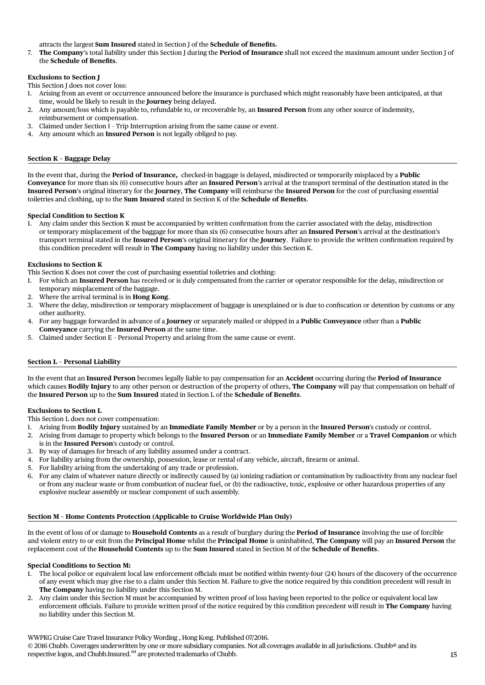attracts the largest **Sum Insured** stated in Section J of the **Schedule of Benefits.**

## 7. **The Company**'s total liability under this Section J during the **Period of Insurance** shall not exceed the maximum amount under Section J of the **Schedule of Benefits**.

## **Exclusions to Section J**

This Section J does not cover loss:

- 1. Arising from an event or occurrence announced before the insurance is purchased which might reasonably have been anticipated, at that time, would be likely to result in the **Journey** being delayed.
- 2. Any amount/loss which is payable to, refundable to, or recoverable by, an **Insured Person** from any other source of indemnity,
- reimbursement or compensation.
- 3. Claimed under Section I Trip Interruption arising from the same cause or event.
- 4. Any amount which an **Insured Person** is not legally obliged to pay.

## **Section K – Baggage Delay**

In the event that, during the **Period of Insurance,** checked-in baggage is delayed, misdirected or temporarily misplaced by a **Public Conveyance** for more than six (6) consecutive hours after an **Insured Person**'s arrival at the transport terminal of the destination stated in the **Insured Person**'s original itinerary for the **Journey**, **The Company** will reimburse the **Insured Person** for the cost of purchasing essential toiletries and clothing, up to the **Sum Insured** stated in Section K of the **Schedule of Benefits**.

## **Special Condition to Section K**

1. Any claim under this Section K must be accompanied by written confirmation from the carrier associated with the delay, misdirection or temporary misplacement of the baggage for more than six (6) consecutive hours after an **Insured Person**'s arrival at the destination's transport terminal stated in the **Insured Person**'s original itinerary for the **Journey**. Failure to provide the written confirmation required by this condition precedent will result in **The Company** having no liability under this Section K.

## **Exclusions to Section K**

This Section K does not cover the cost of purchasing essential toiletries and clothing:

- 1. For which an **Insured Person** has received or is duly compensated from the carrier or operator responsible for the delay, misdirection or
- temporary misplacement of the baggage. 2. Where the arrival terminal is in **Hong Kong**.
- 3. Where the delay, misdirection or temporary misplacement of baggage is unexplained or is due to confiscation or detention by customs or any other authority.
- 4. For any baggage forwarded in advance of a **Journey** or separately mailed or shipped in a **Public Conveyance** other than a **Public Conveyance** carrying the **Insured Person** at the same time.
- 5. Claimed under Section E Personal Property and arising from the same cause or event.

## **Section L – Personal Liability**

In the event that an **Insured Person** becomes legally liable to pay compensation for an **Accident** occurring during the **Period of Insurance** which causes **Bodily Injury** to any other person or destruction of the property of others, **The Company** will pay that compensation on behalf of the **Insured Person** up to the **Sum Insured** stated in Section L of the **Schedule of Benefits**.

## **Exclusions to Section L**

This Section L does not cover compensation:

- 1. Arising from **Bodily Injury** sustained by an **Immediate Family Member** or by a person in the **Insured Person**'s custody or control.
- 2. Arising from damage to property which belongs to the **Insured Person** or an **Immediate Family Member** or a **Travel Companion** or which is in the **Insured Person**'s custody or control.
- 3. By way of damages for breach of any liability assumed under a contract.
- 4. For liability arising from the ownership, possession, lease or rental of any vehicle, aircraft, firearm or animal.
- 5. For liability arising from the undertaking of any trade or profession.
- 6. For any claim of whatever nature directly or indirectly caused by (a) ionizing radiation or contamination by radioactivity from any nuclear fuel or from any nuclear waste or from combustion of nuclear fuel, or (b) the radioactive, toxic, explosive or other hazardous properties of any explosive nuclear assembly or nuclear component of such assembly.

## **Section M – Home Contents Protection (Applicable to Cruise Worldwide Plan Only)**

In the event of loss of or damage to **Household Contents** as a result of burglary during the **Period of Insurance** involving the use of forcible and violent entry to or exit from the **Principal Home** whilst the **Principal Home** is uninhabited, **The Company** will pay an **Insured Person** the replacement cost of the **Household Contents** up to the **Sum Insured** stated in Section M of the **Schedule of Benefits**.

## **Special Conditions to Section M:**

- 1. The local police or equivalent local law enforcement officials must be notified within twenty-four (24) hours of the discovery of the occurrence of any event which may give rise to a claim under this Section M. Failure to give the notice required by this condition precedent will result in **The Company** having no liability under this Section M.
- 2. Any claim under this Section M must be accompanied by written proof of loss having been reported to the police or equivalent local law enforcement officials. Failure to provide written proof of the notice required by this condition precedent will result in **The Company** having no liability under this Section M.

WWPKG Cruise Care Travel Insurance Policy Wording , Hong Kong. Published 07/2016. © 2016 Chubb. Coverages underwritten by one or more subsidiary companies. Not all coverages available in all jurisdictions. Chubb® and its respective logos, and Chubb.Insured.<sup>SM</sup> are protected trademarks of Chubb.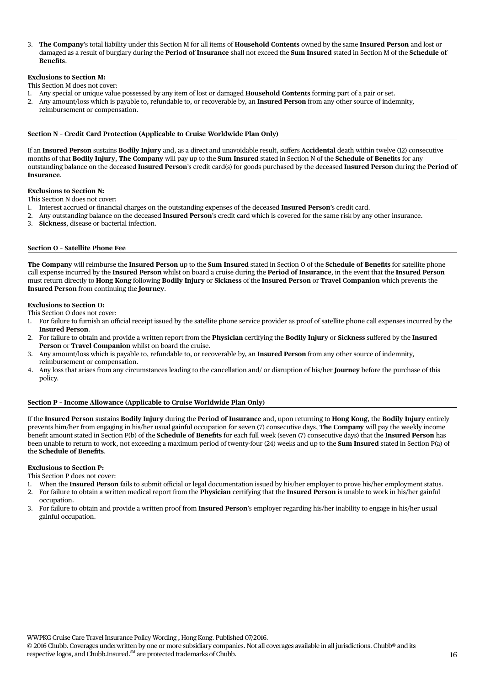3. **The Company**'s total liability under this Section M for all items of **Household Contents** owned by the same **Insured Person** and lost or damaged as a result of burglary during the **Period of Insurance** shall not exceed the **Sum Insured** stated in Section M of the **Schedule of Benefits**.

## **Exclusions to Section M:**

This Section M does not cover:

- 1. Any special or unique value possessed by any item of lost or damaged **Household Contents** forming part of a pair or set.
- 2. Any amount/loss which is payable to, refundable to, or recoverable by, an **Insured Person** from any other source of indemnity,
- reimbursement or compensation.

## **Section N – Credit Card Protection (Applicable to Cruise Worldwide Plan Only)**

If an **Insured Person** sustains **Bodily Injury** and, as a direct and unavoidable result, suffers **Accidental** death within twelve (12) consecutive months of that **Bodily Injury**, **The Company** will pay up to the **Sum Insured** stated in Section N of the **Schedule of Benefits** for any outstanding balance on the deceased **Insured Person**'s credit card(s) for goods purchased by the deceased **Insured Person** during the **Period of Insurance**.

## **Exclusions to Section N:**

This Section N does not cover:

- 1. Interest accrued or financial charges on the outstanding expenses of the deceased **Insured Person**'s credit card.
- 2. Any outstanding balance on the deceased **Insured Person**'s credit card which is covered for the same risk by any other insurance.
- 3. **Sickness**, disease or bacterial infection.

## **Section O – Satellite Phone Fee**

**The Company** will reimburse the **Insured Person** up to the **Sum Insured** stated in Section O of the **Schedule of Benefits** for satellite phone call expense incurred by the **Insured Person** whilst on board a cruise during the **Period of Insurance**, in the event that the **Insured Person** must return directly to **Hong Kong** following **Bodily Injury** or **Sickness** of the **Insured Person** or **Travel Companion** which prevents the **Insured Person** from continuing the **Journey**.

## **Exclusions to Section O:**

This Section O does not cover:

- 1. For failure to furnish an official receipt issued by the satellite phone service provider as proof of satellite phone call expenses incurred by the **Insured Person**.
- 2. For failure to obtain and provide a written report from the **Physician** certifying the **Bodily Injury** or **Sickness** suffered by the **Insured Person** or **Travel Companion** whilst on board the cruise.
- 3. Any amount/loss which is payable to, refundable to, or recoverable by, an **Insured Person** from any other source of indemnity, reimbursement or compensation.
- 4. Any loss that arises from any circumstances leading to the cancellation and/ or disruption of his/her **Journey** before the purchase of this policy.

## **Section P – Income Allowance (Applicable to Cruise Worldwide Plan Only)**

If the **Insured Person** sustains **Bodily Injury** during the **Period of Insurance** and, upon returning to **Hong Kong**, the **Bodily Injury** entirely prevents him/her from engaging in his/her usual gainful occupation for seven (7) consecutive days, **The Company** will pay the weekly income benefit amount stated in Section P(b) of the **Schedule of Benefits** for each full week (seven (7) consecutive days) that the **Insured Person** has been unable to return to work, not exceeding a maximum period of twenty-four (24) weeks and up to the **Sum Insured** stated in Section P(a) of the **Schedule of Benefits**.

## **Exclusions to Section P:**

This Section P does not cover:

- 1. When the **Insured Person** fails to submit official or legal documentation issued by his/her employer to prove his/her employment status.
- 2. For failure to obtain a written medical report from the **Physician** certifying that the **Insured Person** is unable to work in his/her gainful occupation.
- 3. For failure to obtain and provide a written proof from **Insured Person**'s employer regarding his/her inability to engage in his/her usual gainful occupation.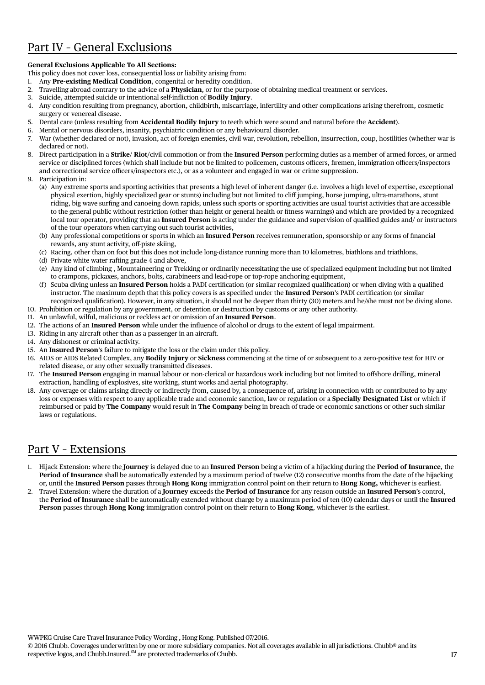# Part IV – General Exclusions

## **General Exclusions Applicable To All Sections:**

This policy does not cover loss, consequential loss or liability arising from:

- 1. Any **Pre-existing Medical Condition**, congenital or heredity condition.
- 2. Travelling abroad contrary to the advice of a **Physician**, or for the purpose of obtaining medical treatment or services.
- 3. Suicide, attempted suicide or intentional self-infliction of **Bodily Injury**.
- 4. Any condition resulting from pregnancy, abortion, childbirth, miscarriage, infertility and other complications arising therefrom, cosmetic surgery or venereal disease.
- 5. Dental care (unless resulting from **Accidental Bodily Injury** to teeth which were sound and natural before the **Accident**).
- 6. Mental or nervous disorders, insanity, psychiatric condition or any behavioural disorder.
- 7. War (whether declared or not), invasion, act of foreign enemies, civil war, revolution, rebellion, insurrection, coup, hostilities (whether war is declared or not).
- 8. Direct participation in a **Strike**/ **Riot/**civil commotion or from the **Insured Person** performing duties as a member of armed forces, or armed service or disciplined forces (which shall include but not be limited to policemen, customs officers, firemen, immigration officers/inspectors and correctional service officers/inspectors etc.), or as a volunteer and engaged in war or crime suppression.
- 9. Participation in:
	- (a) Any extreme sports and sporting activities that presents a high level of inherent danger (i.e. involves a high level of expertise, exceptional physical exertion, highly specialized gear or stunts) including but not limited to cliff jumping, horse jumping, ultra-marathons, stunt riding, big wave surfing and canoeing down rapids; unless such sports or sporting activities are usual tourist activities that are accessible to the general public without restriction (other than height or general health or fitness warnings) and which are provided by a recognized local tour operator, providing that an **Insured Person** is acting under the guidance and supervision of qualified guides and/ or instructors of the tour operators when carrying out such tourist activities,
	- (b) Any professional competitions or sports in which an **Insured Person** receives remuneration, sponsorship or any forms of financial rewards, any stunt activity, off-piste skiing,
	- (c) Racing, other than on foot but this does not include long-distance running more than 10 kilometres, biathlons and triathlons,
	- (d) Private white water rafting grade 4 and above,
	- (e) Any kind of climbing , Mountaineering or Trekking or ordinarily necessitating the use of specialized equipment including but not limited to crampons, pickaxes, anchors, bolts, carabineers and lead-rope or top-rope anchoring equipment,
	- (f ) Scuba diving unless an **Insured Person** holds a PADI certification (or similar recognized qualification) or when diving with a qualified instructor. The maximum depth that this policy covers is as specified under the **Insured Person**'s PADI certification (or similar recognized qualification). However, in any situation, it should not be deeper than thirty (30) meters and he/she must not be diving alone.
- 10. Prohibition or regulation by any government, or detention or destruction by customs or any other authority.
- 11. An unlawful, wilful, malicious or reckless act or omission of an **Insured Person**.
- 12. The actions of an **Insured Person** while under the influence of alcohol or drugs to the extent of legal impairment.
- 13. Riding in any aircraft other than as a passenger in an aircraft.
- 14. Any dishonest or criminal activity.
- 15. An **Insured Person**'s failure to mitigate the loss or the claim under this policy.
- 16. AIDS or AIDS Related Complex, any **Bodily Injury** or **Sickness** commencing at the time of or subsequent to a zero-positive test for HIV or related disease, or any other sexually transmitted diseases.
- 17. The **Insured Person** engaging in manual labour or non-clerical or hazardous work including but not limited to offshore drilling, mineral extraction, handling of explosives, site working, stunt works and aerial photography.
- 18. Any coverage or claims arising directly or indirectly from, caused by, a consequence of, arising in connection with or contributed to by any loss or expenses with respect to any applicable trade and economic sanction, law or regulation or a **Specially Designated List** or which if reimbursed or paid by **The Company** would result in **The Company** being in breach of trade or economic sanctions or other such similar laws or regulations.

## Part V – Extensions

- 1. Hijack Extension: where the **Journey** is delayed due to an **Insured Person** being a victim of a hijacking during the **Period of Insurance**, the **Period of Insurance** shall be automatically extended by a maximum period of twelve (12) consecutive months from the date of the hijacking or, until the **Insured Person** passes through **Hong Kong** immigration control point on their return to **Hong Kong,** whichever is earliest.
- 2. Travel Extension: where the duration of a **Journey** exceeds the **Period of Insurance** for any reason outside an **Insured Person**'s control, the **Period of Insurance** shall be automatically extended without charge by a maximum period of ten (10) calendar days or until the **Insured Person** passes through **Hong Kong** immigration control point on their return to **Hong Kong**, whichever is the earliest.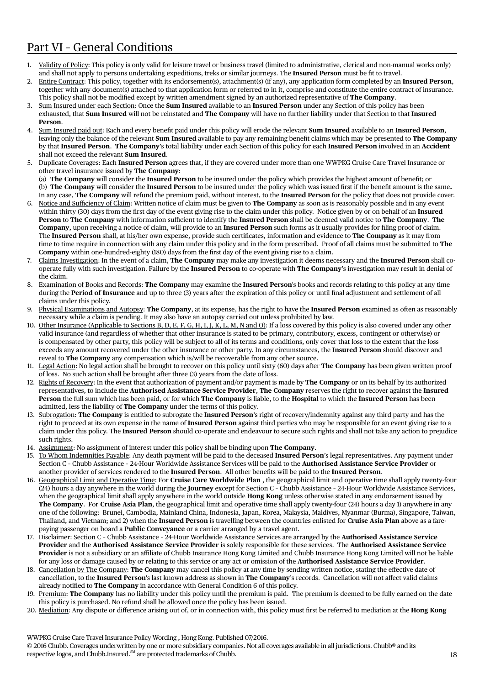# Part VI – General Conditions

- 1. Validity of Policy: This policy is only valid for leisure travel or business travel (limited to administrative, clerical and non-manual works only) and shall not apply to persons undertaking expeditions, treks or similar journeys. The **Insured Person** must be fit to travel.
- 2. Entire Contract: This policy, together with its endorsement(s), attachment(s) (if any), any application form completed by an **Insured Person**, together with any document(s) attached to that application form or referred to in it, comprise and constitute the entire contract of insurance. This policy shall not be modified except by written amendment signed by an authorized representative of **The Company**.
- 3. Sum Insured under each Section: Once the **Sum Insured** available to an **Insured Person** under any Section of this policy has been exhausted, that **Sum Insured** will not be reinstated and **The Company** will have no further liability under that Section to that **Insured Person**.
- 4. Sum Insured paid out: Each and every benefit paid under this policy will erode the relevant **Sum Insured** available to an **Insured Person**, leaving only the balance of the relevant **Sum Insured** available to pay any remaining benefit claims which may be presented to **The Company** by that **Insured Person**. **The Company**'s total liability under each Section of this policy for each **Insured Person** involved in an **Accident** shall not exceed the relevant **Sum Insured**.
- 5. Duplicate Coverages: Each **Insured Person** agrees that, if they are covered under more than one WWPKG Cruise Care Travel Insurance or other travel insurance issued by **The Company**:

 (a) **The Company** will consider the **Insured Person** to be insured under the policy which provides the highest amount of benefit; or (b) **The Company** will consider the **Insured Person** to be insured under the policy which was issued first if the benefit amount is the same**.** In any case, **The Company** will refund the premium paid, without interest, to the **Insured Person** for the policy that does not provide cover.

- 6. Notice and Sufficiency of Claim: Written notice of claim must be given to **The Company** as soon as is reasonably possible and in any event within thirty (30) days from the first day of the event giving rise to the claim under this policy. Notice given by or on behalf of an **Insured Person** to **The Company** with information sufficient to identify the **Insured Person** shall be deemed valid notice to **The Company**. **The Company**, upon receiving a notice of claim, will provide to an **Insured Person** such forms as it usually provides for filing proof of claim. The **Insured Person** shall, at his/her own expense, provide such certificates, information and evidence to **The Company** as it may from time to time require in connection with any claim under this policy and in the form prescribed. Proof of all claims must be submitted to **The Company** within one-hundred-eighty (180) days from the first day of the event giving rise to a claim.
- 7. Claims Investigation: In the event of a claim, **The Company** may make any investigation it deems necessary and the **Insured Person** shall cooperate fully with such investigation. Failure by the **Insured Person** to co-operate with **The Company**'s investigation may result in denial of the claim.
- 8. Examination of Books and Records: **The Company** may examine the **Insured Person**'s books and records relating to this policy at any time during the **Period of Insurance** and up to three (3) years after the expiration of this policy or until final adjustment and settlement of all claims under this policy.
- 9. Physical Examinations and Autopsy: **The Company**, at its expense, has the right to have the **Insured Person** examined as often as reasonably necessary while a claim is pending. It may also have an autopsy carried out unless prohibited by law.
- 10. Other Insurance (Applicable to Sections B, D, E, F, G, H, I, J, K, L, M, N and O): If a loss covered by this policy is also covered under any other valid insurance (and regardless of whether that other insurance is stated to be primary, contributory, excess, contingent or otherwise) or is compensated by other party, this policy will be subject to all of its terms and conditions, only cover that loss to the extent that the loss exceeds any amount recovered under the other insurance or other party. In any circumstances, the **Insured Person** should discover and reveal to **The Company** any compensation which is/will be recoverable from any other source.
- 11. Legal Action: No legal action shall be brought to recover on this policy until sixty (60) days after **The Company** has been given written proof of loss. No such action shall be brought after three (3) years from the date of loss.
- 12. Rights of Recovery: In the event that authorization of payment and/or payment is made by **The Company** or on its behalf by its authorized representatives, to include the **Authorised Assistance Service Provider**, **The Company** reserves the right to recover against the **Insured Person** the full sum which has been paid, or for which **The Company** is liable, to the **Hospital** to which the **Insured Person** has been admitted, less the liability of **The Company** under the terms of this policy.
- 13. Subrogation: **The Company** is entitled to subrogate the **Insured Person**'s right of recovery/indemnity against any third party and has the right to proceed at its own expense in the name of **Insured Person** against third parties who may be responsible for an event giving rise to a claim under this policy. The **Insured Person** should co-operate and endeavour to secure such rights and shall not take any action to prejudice such rights.
- 14. Assignment: No assignment of interest under this policy shall be binding upon **The Company**.
- 15. To Whom Indemnities Payable: Any death payment will be paid to the deceased **Insured Person**'s legal representatives. Any payment under Section C – Chubb Assistance – 24**-**Hour Worldwide Assistance Services will be paid to the **Authorised Assistance Service Provider** or another provider of services rendered to the **Insured Person**. All other benefits will be paid to the **Insured Person**.
- 16. Geographical Limit and Operative Time: For **Cruise Care Worldwide Plan** , the geographical limit and operative time shall apply twenty-four (24) hours a day anywhere in the world during the **Journey** except for Section C – Chubb Assistance – 24**-**Hour Worldwide Assistance Services, when the geographical limit shall apply anywhere in the world outside **Hong Kong** unless otherwise stated in any endorsement issued by **The Company**. For **Cruise Asia Plan**, the geographical limit and operative time shall apply twenty-four (24) hours a day 1) anywhere in any one of the following: Brunei, Cambodia, Mainland China, Indonesia, Japan, Korea, Malaysia, Maldives, Myanmar (Burma), Singapore, Taiwan, Thailand, and Vietnam; and 2) when the **Insured Person** is travelling between the countries enlisted for **Cruise Asia Plan** above as a farepaying passenger on board a **Public Conveyance** or a carrier arranged by a travel agent.
- 17. Disclaimer: Section C Chubb Assistance 24-Hour Worldwide Assistance Services are arranged by the **Authorised Assistance Service Provider** and the **Authorised Assistance Service Provider** is solely responsible for these services. The **Authorised Assistance Service Provider** is not a subsidiary or an affiliate of Chubb Insurance Hong Kong Limited and Chubb Insurance Hong Kong Limited will not be liable for any loss or damage caused by or relating to this service or any act or omission of the **Authorised Assistance Service Provider**.
- 18. Cancellation by The Company: **The Company** may cancel this policy at any time by sending written notice, stating the effective date of cancellation, to the **Insured Person**'s last known address as shown in **The Company**'s records. Cancellation will not affect valid claims already notified to **The Company** in accordance with General Condition 6 of this policy.
- 19. Premium: **The Company** has no liability under this policy until the premium is paid. The premium is deemed to be fully earned on the date this policy is purchased. No refund shall be allowed once the policy has been issued.
- 20. Mediation: Any dispute or difference arising out of, or in connection with, this policy must first be referred to mediation at the **Hong Kong**

## WWPKG Cruise Care Travel Insurance Policy Wording , Hong Kong. Published 07/2016.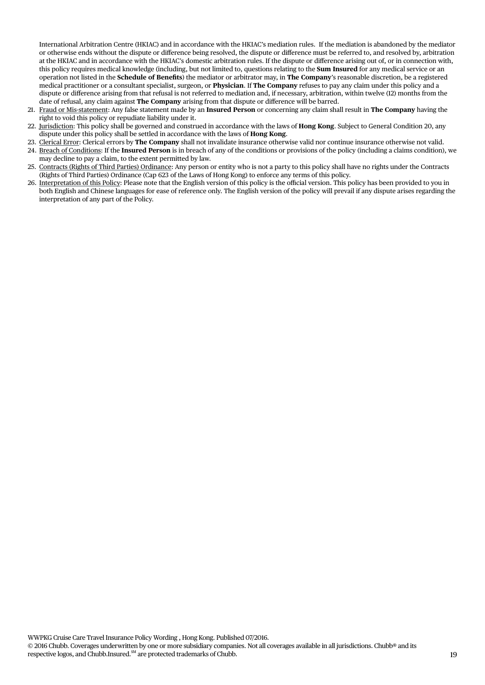International Arbitration Centre (HKIAC) and in accordance with the HKIAC's mediation rules. If the mediation is abandoned by the mediator or otherwise ends without the dispute or difference being resolved, the dispute or difference must be referred to, and resolved by, arbitration at the HKIAC and in accordance with the HKIAC's domestic arbitration rules. If the dispute or difference arising out of, or in connection with, this policy requires medical knowledge (including, but not limited to, questions relating to the **Sum Insured** for any medical service or an operation not listed in the **Schedule of Benefits**) the mediator or arbitrator may, in **The Company**'s reasonable discretion, be a registered medical practitioner or a consultant specialist, surgeon, or **Physician**. If **The Company** refuses to pay any claim under this policy and a dispute or difference arising from that refusal is not referred to mediation and, if necessary, arbitration, within twelve (12) months from the date of refusal, any claim against **The Company** arising from that dispute or difference will be barred.

- 21. Fraud or Mis-statement: Any false statement made by an **Insured Person** or concerning any claim shall result in **The Company** having the right to void this policy or repudiate liability under it.
- 22. Jurisdiction: This policy shall be governed and construed in accordance with the laws of **Hong Kong**. Subject to General Condition 20, any dispute under this policy shall be settled in accordance with the laws of **Hong Kong**.
- 23. Clerical Error: Clerical errors by **The Company** shall not invalidate insurance otherwise valid nor continue insurance otherwise not valid.
- 24. Breach of Conditions: If the **Insured Person** is in breach of any of the conditions or provisions of the policy (including a claims condition), we may decline to pay a claim, to the extent permitted by law.
- 25. Contracts (Rights of Third Parties) Ordinance: Any person or entity who is not a party to this policy shall have no rights under the Contracts (Rights of Third Parties) Ordinance (Cap 623 of the Laws of Hong Kong) to enforce any terms of this policy.
- 26. Interpretation of this Policy: Please note that the English version of this policy is the official version. This policy has been provided to you in both English and Chinese languages for ease of reference only. The English version of the policy will prevail if any dispute arises regarding the interpretation of any part of the Policy.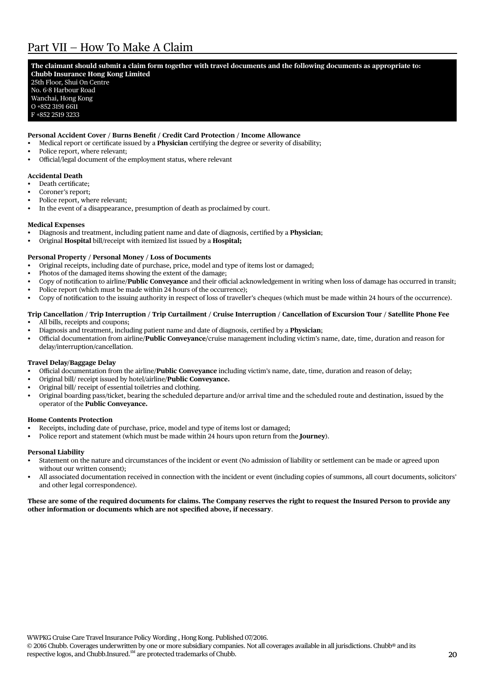## **The claimant should submit a claim form together with travel documents and the following documents as appropriate to: Chubb Insurance Hong Kong Limited**

25th Floor, Shui On Centre No. 6-8 Harbour Road Wanchai, Hong Kong O +852 3191 6611 F +852 2519 3233

## **Personal Accident Cover / Burns Benefit / Credit Card Protection / Income Allowance**

- Medical report or certificate issued by a **Physician** certifying the degree or severity of disability;
- Police report, where relevant:
- Official/legal document of the employment status, where relevant

## **Accidental Death**

- Death certificate:
- Coroner's report;
- Police report, where relevant;
- In the event of a disappearance, presumption of death as proclaimed by court.

#### **Medical Expenses**

- Diagnosis and treatment, including patient name and date of diagnosis, certified by a **Physician**;
- • Original **Hospital** bill/receipt with itemized list issued by a **Hospital;**

## **Personal Property / Personal Money / Loss of Documents**

- Original receipts, including date of purchase, price, model and type of items lost or damaged;
- Photos of the damaged items showing the extent of the damage;
- Copy of notification to airline/**Public Conveyance** and their official acknowledgement in writing when loss of damage has occurred in transit;
- Police report (which must be made within 24 hours of the occurrence);
- • Copy of notification to the issuing authority in respect of loss of traveller's cheques (which must be made within 24 hours of the occurrence).

#### **Trip Cancellation / Trip Interruption / Trip Curtailment / Cruise Interruption / Cancellation of Excursion Tour / Satellite Phone Fee** All bills, receipts and coupons;

- Diagnosis and treatment, including patient name and date of diagnosis, certified by a **Physician**;
- Official documentation from airline/Public Conveyance/cruise management including victim's name, date, time, duration and reason for delay/interruption/cancellation.

## **Travel Delay/Baggage Delay**

- Official documentation from the airline/**Public Conveyance** including victim's name, date, time, duration and reason of delay;
- Original bill/ receipt issued by hotel/airline/**Public Conveyance.**
- Original bill/receipt of essential toiletries and clothing.
- Original boarding pass/ticket, bearing the scheduled departure and/or arrival time and the scheduled route and destination, issued by the operator of the **Public Conveyance.**

## **Home Contents Protection**

- Receipts, including date of purchase, price, model and type of items lost or damaged;
- Police report and statement (which must be made within 24 hours upon return from the **Journey**).

## **Personal Liability**

- Statement on the nature and circumstances of the incident or event (No admission of liability or settlement can be made or agreed upon without our written consent);
- All associated documentation received in connection with the incident or event (including copies of summons, all court documents, solicitors' and other legal correspondence).

## **These are some of the required documents for claims. The Company reserves the right to request the Insured Person to provide any other information or documents which are not specified above, if necessary**.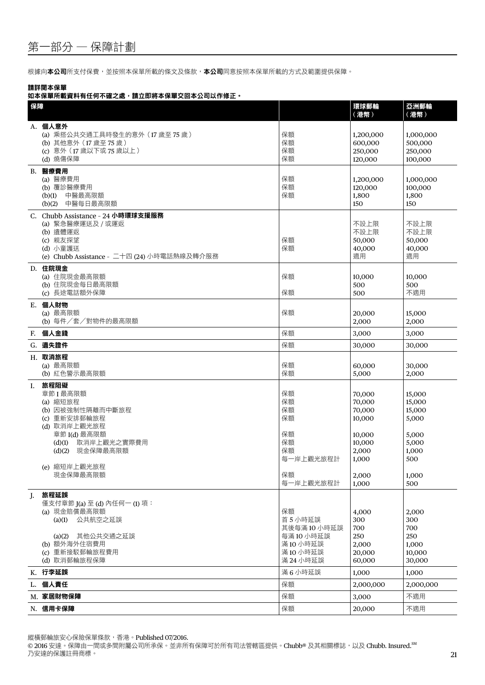根據向本公司所支付保費,並按照本保單所載的條文及條款,本公司同意按照本保單所載的方式及範圍提供保障。

## 請詳閱本保單

| 保障 |                                                                                                                                                                            |                                                                                  | 環球郵輪<br>(港幣)                                                                                 | 亞洲郵輪<br>(港幣)                                                                          |
|----|----------------------------------------------------------------------------------------------------------------------------------------------------------------------------|----------------------------------------------------------------------------------|----------------------------------------------------------------------------------------------|---------------------------------------------------------------------------------------|
|    | A. 個人意外<br>(a) 乘搭公共交通工具時發生的意外 (17歲至75歲)<br>(b) 其他意外 (17 歲至 75 歲)<br>(c) 意外 (17 歲以下或 75 歲以上)<br>(d) 燒傷保障                                                                    | 保額<br>保額<br>保額<br>保額                                                             | 1,200,000<br>600,000<br>250,000<br>120,000                                                   | 1,000,000<br>500,000<br>250,000<br>100,000                                            |
|    | B. 醫療費用<br>(a) 醫療費用<br>(b) 覆診醫療費用<br>中醫最高限額<br>(b)(1)<br>中醫每日最高限額<br>(b)(2)                                                                                                | 保額<br>保額<br>保額                                                                   | 1,200,000<br>120,000<br>1,800<br>150                                                         | 1,000,000<br>100,000<br>1,800<br>150                                                  |
|    | C. Chubb Assistance - 24 小時環球支援服務<br>(a) 緊急醫療運送及 / 或運返<br>(b) 遺體運返<br>(c) 親友探望<br>(d) 小童護送<br>(e) Chubb Assistance - 二十四 (24) 小時電話熱線及轉介服務                                  | 保額<br>保額                                                                         | 不設上限<br>不設上限<br>50,000<br>40,000<br>適用                                                       | 不設上限<br>不設上限<br>50,000<br>40,000<br>適用                                                |
|    | D. 住院現金<br>(a) 住院現金最高限額<br>(b) 住院現金每日最高限額<br>(c) 長途電話額外保障                                                                                                                  | 保額<br>保額                                                                         | 10,000<br>500<br>500                                                                         | 10,000<br>500<br>不適用                                                                  |
|    | E. 個人財物<br>(a) 最高限額<br>(b) 每件/套/對物件的最高限額                                                                                                                                   | 保額                                                                               | 20,000<br>2,000                                                                              | 15,000<br>2,000                                                                       |
|    | F. 個人金錢                                                                                                                                                                    | 保額                                                                               | 3,000                                                                                        | 3,000                                                                                 |
|    | G. 遺失證件                                                                                                                                                                    | 保額                                                                               | 30,000                                                                                       | 30,000                                                                                |
|    | H. 取消旅程<br>(a) 最高限額<br>(b) 紅色警示最高限額                                                                                                                                        | 保額<br>保額                                                                         | 60,000<br>5,000                                                                              | 30,000<br>2,000                                                                       |
| L. | 旅程阻礙<br>章節I最高限額<br>(a) 縮短旅程<br>(b) 因被強制性隔離而中斷旅程<br>(c) 重新安排郵輪旅程<br>(d) 取消岸上觀光旅程<br>章節 I(d) 最高限額<br>取消岸上觀光之實際費用<br>(d)(1)<br>現金保障最高限額<br>(d)(2)<br>(e) 縮短岸上觀光旅程<br>現金保障最高限額 | 保額<br>保額<br>保額<br>保額<br>保額<br>保額<br>保額<br>每一岸上觀光旅程計<br>保額<br>每一岸上觀光旅程計           | 70,000<br>70,000<br>70,000<br>10,000<br>10,000<br>10,000<br>2,000<br>1,000<br>2,000<br>1,000 | 15,000<br>15,000<br>15,000<br>5,000<br>5,000<br>5,000<br>1,000<br>500<br>1,000<br>500 |
| J. | 旅程延誤<br>僅支付章節 J(a) 至 (d) 內任何一 (1) 項:<br>(a) 現金賠償最高限額<br>公共航空之延誤<br>(a)(1)<br>(a)(2) 其他公共交通之延誤<br>(b) 額外海外住宿費用<br>(c) 重新接駁郵輪旅程費用<br>(d) 取消郵輪旅程保障                            | 保額<br>首 5 小時延誤<br>其後每滿 10 小時延誤<br>每滿10小時延誤<br>滿10 小時延誤<br>滿 10 小時延誤<br>滿 24 小時延誤 | 4,000<br>300<br>700<br>250<br>2,000<br>20,000<br>60,000                                      | 2,000<br>300<br>700<br>250<br>1,000<br>10,000<br>30,000                               |
|    | K. 行李延誤                                                                                                                                                                    | 滿 6 小時延誤                                                                         | 1,000                                                                                        | 1,000                                                                                 |
|    | L. 個人責任                                                                                                                                                                    | 保額                                                                               | 2,000,000                                                                                    | 2,000,000                                                                             |
|    | M. 家居財物保障                                                                                                                                                                  | 保額                                                                               | 3,000                                                                                        | 不適用                                                                                   |
|    | N. 信用卡保障                                                                                                                                                                   | 保額                                                                               | 20,000                                                                                       | 不適用                                                                                   |

縱橫郵輪旅安心保險保單條款,香港。Published 07/2016.

20 21 乃安達的保護註冊商標。 © 2016 安達。保障由一間或多間附屬公司所承保。並非所有保障可於所有司法管轄區提供。Chubb® 及其相關標誌,以及 Chubb. Insured.SM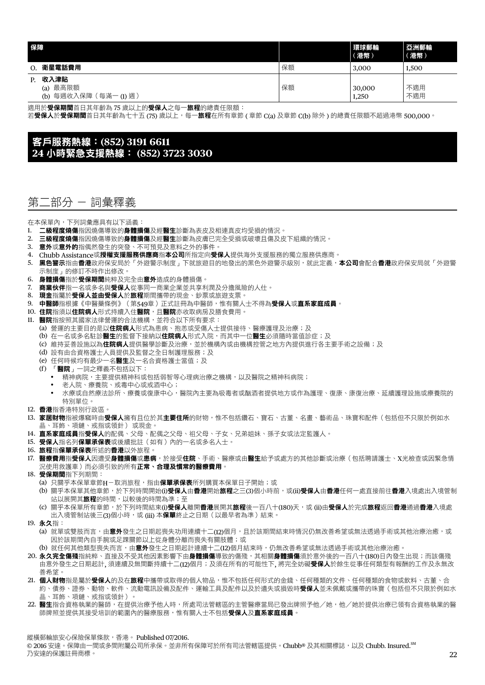| 保障 |                                                    |    | 環球郵輪<br>(港幣)    | 亞洲郵輪<br>(港幣) |
|----|----------------------------------------------------|----|-----------------|--------------|
|    | 衛星電話費用                                             | 保額 | 3,000           | 1,500        |
| Р. | 收入津貼<br>最高限額<br>(a)<br>每週收入保障(<br>(每滿一(1)週)<br>(b) | 保額 | 30,000<br>1,250 | 不適用<br>不適用   |

滴用於**受保期間**首日其年齡為 75 歲以上的**受保人**之每一**旅程**的總責任限額:

若**受保人於受保期間**首日其年齡為七十五 (75) 歲以上,每一**旅程**在所有章節 ( 章節 C(a) 及章節 C(b) 除外 ) 的總責任限額不超過港幣 500,000。

## 客戶服務熱線:**(852) 3191 6611 24** 小時緊急支援熱線: **(852) 3723 3030**

## 第二部分 - 詞彙釋義

在本保單內,下列詞彙應具有以下涵義:

- 1. 二級程度燒傷指因燒傷導致的身體損傷及經醫生診斷為表皮及相連真皮均受損的情況。
- 2. 三**級程度燒傷**指因燒傷導致的**身體損傷**及經**醫生**診斷為皮膚已完全受損或破壞且傷及皮下組織的情況。
- 3. 意外或意外的指偶然發生的突發、不可預見及意料之外的事件。
- 4. Chubb Assistance或**授權支援服務供應商指本公司**所指定向受保人提供海外支援服務的獨立服務供應商。
- 5. 黑色警示指由香港政府保安局於「外遊警示制度」下就旅遊目的地發出的黑色外遊警示級別,就此定義,本公司會配合香港政府保安局就「外遊警 示制度」的修訂不時作出修改。
- 6. 身體損傷指於受保期間純粹及完全由意外造成的身體損傷。
- 7. 商業伙伴指一名或多名與受保人從事同一商業企業並共享利潤及分擔風險的人仕。
- 8. 現金指屬於受保人並由受保人於旅程期間攜帶的現金、鈔票或旅遊支票。
- 9. 中醫師指根據《中醫藥條例》(第549章)正式註冊為中醫師,惟有關人士不得為**受保人**或直系家庭成員。
- 10. 住院指須以住院病人形式持續入住醫院, 且醫院亦收取病房及膳食費用。
- 11. 醫院指按照其國家法律營運的合法機構,並符合以下所有要求:
	- (a) 營運的主要目的是以**住院病人**形式為患病、抱恙或受傷人士提供接待、醫療護理及治療;及
	- (b) 在一名或多名駐診醫生的監督下接納以住院病人形式入院,而其中一位醫生必須隨時當值診症;及
	- (c) 維持妥善設施以為住院病人提供醫學診斷及治療,並於機構內或由機構控管之地方內提供進行各主要手術之設備;及
	- (d) 設有由合資格護士人員提供及監督之全日制護理服務;及
	- (e) 任何時候均有最少一名醫生及一名合資格護士當值;及
	- (f) 「醫院」一詞之釋義不包括以下:
		- 精神病院,主要提供精神科或包括弱智等心理病治療之機構,以及醫院之精神科病院;
		- 老人院、療養院、戒毒中心或戒酒中心;
		- 水療或自然療法診所、療養或復康中心,醫院內主要為吸毒者或酗酒者提供地方或作為護理、復康、康復治療、延續護理設施或療養院的 特別單位。
- 12. 香港指香港特別行政區。
- 13. 家居財物指被爆竊時由受保人擁有且位於其主要住所的財物,惟不包括鑽石、寶石、古董、名畫、藝術品、珠寶和配件(包括但不只限於例如水 晶、耳飾、項鏈、戒指或領針) 或現金。
- 14. 直系家庭成員指受保人的配偶、父母、配偶之父母、祖父母、子女、兄弟姐妹、孫子女或法定監護人。
- 15. 受保人指名列保單承保表或後續批註(如有)內的一名或多名人士。
- 16. 旅程指保單承保表所述的香港以外旅程。
- 17. 醫療費用指受保人因遭受身體損傷或患病,於接受住院、手術、醫療或由醫生給予或處方的其他診斷或治療 (包括聘請護士、X光檢查或因緊急情 況使用救護車)而必須引致的所有**正常、合理及慣常的醫療費用**。
- 18. 受保期間指下列期間:
	- (a) 只關乎本保單章節H-取消旅程, 指由保單承保表所列購買本保單日子開始;或
	- (b) 關乎本保單其他章節,於下列時間開始(j)受保人由香港開始旅程之三(3)個小時前,或(ii)受保人由香港任何一處直接前往香港入境處出入境管制 站以展開其**旅程**的時間,以較後的時間為準;至
	- (c) 關乎本保單所有章節,於下列時間結束(i)受保人離開香港展開其旅程後一百八十(180)天,或 (ii)由受保人於完成旅程返回香港通過香港入境處 出入境管制站後三(3)個小時,或 (iii) 本保單終止之日期(以最早者為準)結束。
- 19. 永久指:
	- (a) 就單或雙肢而言,由**意外**發生之日期起喪失功用連續十二(12)個月,且於該期間結束時情況仍無改善希望或無法透過手術或其他治療治癒,或 因於該期間內自手腕或足踝關節以上從身體分離而喪失有關肢體;或
- (b) 就任何其他類型喪失而言,由**意外**發生之日期起計連續十二(12)個月結束時,仍無改善希望或無法透過手術或其他治療治癒。
- 20. 永久完全傷殘指純粹、直接及不受其他因素影響下由身體損傷導致的傷殘,其相關身體損傷須於意外後的一百八十(180)日內發生出現;而該傷殘 由意外發生之日期起計, 須連續及無間斷持續十二(12)個月;及須在所有的可能性下, 將完全妨礙**受保人**於餘生從事任何類型有報酬的工作及永無改 善希望。
- 21. 個人財物指是屬於受保人的及在旅程中攜帶或取得的個人物品,惟不包括任何形式的金錢、任何種類的文件、任何種類的食物或飲料、古董、合 約、債券、證券、動物、軟件、流動電訊設備及配件、運輸工具及配件以及於遺失或損毀時**受保人**並未佩戴或攜帶的珠寶(包括但不只限於例如水 晶、耳飾、項鏈、戒指或領針)。
- 22. 醫生指合資格執業的醫師,在提供治療予他人時,所處司法管轄區的主管醫療當局已發出牌照予他/她,他/她於提供治療已領有合資格執業的醫 師牌照並提供其接受培訓的範圍內的醫療服務,惟有關人士不包括**受保人**及**直系家庭成員**。

縱橫郵輪旅安心保險保單條款,香港。 Published 07/2016.

© 2016 安達。保障由一間或多間附屬公司所承保。並非所有保障可於所有司法管轄區提供。Chubb® 及其相關標誌,以及 Chubb. Insured. SM 乃安達的保護註冊商標。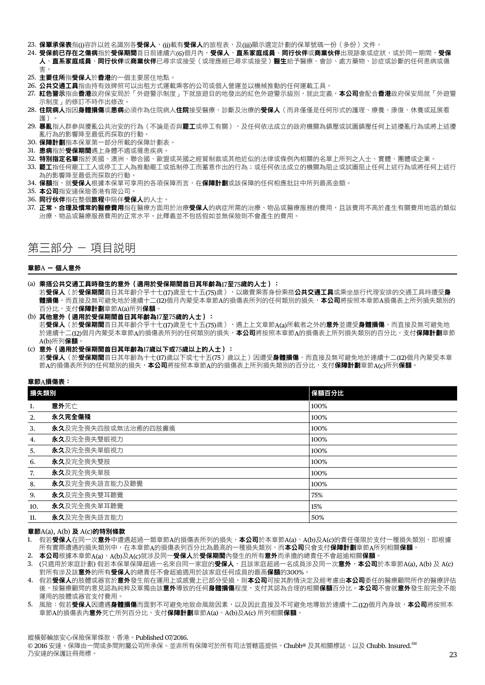- 23. 保單承保表指(i)容許以姓名識別各受保人,(ii)載有受保人的旅程表,及(iii)顯示選定計劃的保單號碼一份(多份)文件。
- 24. 受保前已存在之傷病指於受保期間首日前連續六(6)個月內, 受保人、直系家庭成員、同行伙伴或商業伙伴出現跡象或症狀, 或於同一期間, 受保 人、直系家庭成員、同行伙伴或商業伙伴已尋求或接受(或理應經已尋求或接受)醫生給予醫療、會診、處方藥物、診症或診斷的任何患病或傷 害。
- 25. 主要住所指受保人於香港的一個主要居住地點。
- 26. 公共交通工具指由持有效牌照可以出租方式運載乘客的公司或個人營運並以機械推動的任何運載工具。
- 27. 紅色警示指由香港政府保安局於「外遊警示制度」下就旅遊目的地發出的紅色外遊警示級別,就此定義,本公司會配合香港政府保安局就「外遊警 示制度」的修訂不時作出修改。
- 28. 住院病人指因身體損傷或患病\須作為住院病人住院接受醫療、診斷及治療的受保人 (而非僅僅是任何形式的護理、療養、康復、休養或延展看 護)。
- 29. 暴亂指人群參與擾亂公共治安的行為 (不論是否與罷工或停工有關),及任何依法成立的政府機關為鎮壓或試圖鎮壓任何上述擾亂行為或將上述擾 亂行為的影響降至最低而採取的行動。
- 30. 保障計劃指本保單第一部分所載的保障計劃表。
- 31. 患病指於受保期間遇上身體不適或罹患疾病。
- 32. 特別指定名單指於美國、澳洲、聯合國、歐盟或英國之經貿制裁或其他近似的法律或條例內相關的名單上所列之人士、實體、團體或企業。
- 33. **罷工**指任何罷工工人或停工工人為推動罷工或抵制停工而蓄意作出的行為;或任何依法成立的機關為阻止或試圖阻止任何上述行為或將任何上述行 為的影響降至最低而採取的行動。
- 34. 保額指,就受保人根據本保單可享用的各項保障而言,在保障計劃或該保障的任何相應批註中所列最高金額。
- 35. 本公司指安達保險香港有限公司。
- 36. 同行伙伴指在整個旅程中陪伴受保人的人士。
- 37. 正常、合理及慣常的醫療費用指在醫療方面用於治療受保人的病症所需的治療、物品或醫療服務的費用,且該費用不高於產生有關費用地區的類似 治療、物品或醫療服務費用的正常水平。此釋義並不包括假如並無保險則不會產生的費用。

## 第三部分 - 項目説明

#### 章節A - 個人意外

#### (a) 乘搭公共交通工具時發生的意外(適用於受保期間首日其年齡為17至75歲的人士):

若**受保人**(於**受保期間**首日其年齡介乎十七(17)歲至七十五(75)歲),以繳費乘客身份乘搭**公共交通工具**或乘坐旅行代理安排的交通工具時遭受**身**<br>**體損傷**,而直接及無可避免地於連續十二(12)個月內蒙受本章節A的損傷表所列的任何類別的損失,**本公司**將按照本章節A損傷表上所列損失類別的 ,<br>- (12)個月內蒙受本章節A的損傷表所列的任何類別的損失,**本公司**將按照本章節A損傷表上所列損失類別的 百分比,支付**保障計劃**章節A(a)所列**保額** 

(b) 其他意外(適用於受保期間首日其年齡為17至75歲的人士):

若受保人(於受保期間首日其年齡介乎十七(17)歲至七十五(75)歲),遇上上文章節A(a)所載者之外的**意外**並遭受身體損傷,而直接及無可避免地 於連續十二(12)個月內蒙受本章節A的損傷表所列的任何類別的損失,**本公司**將按照本章節A的損傷表上所列損失類別的百分比,支付**保障計劃**章節 A(b)所列保額。

(c) 意外(適用於受保期間首日其年齡為17歲以下或75歲以上的人士): 若**受保人**(於**受保期間**首日其年齡為十七(17)歲以下或七十五(75)歲以上)因遭受**身體損傷**,而直接及無可避免地於連續十二(12)個月內蒙受本章 節A的損傷表所列的任何類別的損失,**本公司**將按照本章節A的的損傷表上所列損失類別的百分比,支付**保障計劃**章節A(c)所列**保額**。

#### 章節A損傷表:

| 損失類別 |                     | 保額百分比 |
|------|---------------------|-------|
| 1.   | 意外死亡                | 100%  |
| 2.   | 永久完全傷殘              | 100%  |
| 3.   | 永久及完全喪失四肢或無法治癒的四肢癱瘓 | 100%  |
| 4.   | 永久及完全喪失雙眼視力         | 100%  |
| 5.   | 永久及完全喪失單眼視力         | 100%  |
| 6.   | 永久及完全喪失雙肢           | 100%  |
| 7.   | 永久及完全喪失單肢           | 100%  |
| 8.   | 永久及完全喪失語言能力及聽覺      | 100%  |
| 9.   | 永久及完全喪失雙耳聽覺         | 75%   |
| 10.  | 永久及完全喪失單耳聽覺         | 15%   |
| 11.  | 永久及完全喪失語言能力         | 50%   |

#### 章節A(a), A(b) 及 A(c)的特別條款

- 1. 假若**受保人**在同一次**意外**中遭遇超過一類章節A的損傷表所列的損失,**本公司**於本章節A(a)、A(b)及A(c)的責任僅限於支付一種損失類別,即根據 所有實際遭遇的損失類別中,在本章節A的損傷表列百分比為最高的一種損失類別,而本公司只會支付保障計劃章節A所列相關保額。
- 2. 本公司根據本章節A(a)、A(b)及A(c)就涉及同一受保人於受保期間內發生的所有意外而承擔的總責任不會超逾相關保額。
- 3. (只適用於家庭計劃) 假若本保單保障超過一名來自同一家庭的**受保人**,且該家庭超過一名成員涉及同一次**意外,本公司**於本章節A(a), A(b) 及 A(c) 對所有涉及該意外的所有受保人的總責任不會超逾適用於該家庭任何成員的最高保額的300%。
- 4. 假若**受保人**的肢體或器官於**意外**發生前在運用上或感覺上已部分受損,則**本公司**可按其酌情決定及經考慮由**本公司**委任的醫療顧問所作的醫療評估 後,按醫療顧問的意見認為純粹及單獨由該**意外**導致的任何**身體損傷**程度,支付其認為合理的相關**保額**百分比。**本公司**不會就**意外**發生前完全不能 運用的肢體或器官支付費用。
- 5. 風險:假若**受保人**因遭遇**身體損傷**而面對不可避免地致命風險因素,以及因此直接及不可避免地導致於連續十二(12)個月內身故,**本公司**將按照本 章節A的損傷表內**意外**死亡所列百分比,支付**保障計劃**章節A(a)、A(b)及A(c) 所列相關**保額**。

縱橫郵輪旅安心保險保單條款,香港。Published 07/2016.

22 23 © 2016 安達。保障由一間或多間附屬公司所承保。並非所有保障可於所有司法管轄區提供。Chubb® 及其相關標誌,以及 Chubb. Insured.<sup>SM</sup> 乃安達的保護註冊商標。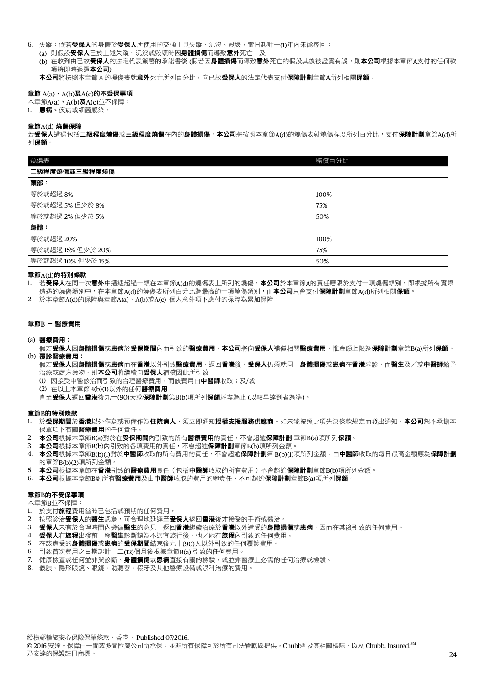#### 6. 失蹤:假若受保人的身體於受保人所使用的交通工具失蹤、沉沒、毀壞,當日起計一(1)年內未能尋回:

(a) 則假設受保人已於上述失蹤、沉沒或毀壞時因身體損傷而導致意外死亡;及

(b) 在收到由已故受保人的法定代表簽署的承諾書後 (假若因身體損傷而導致意外死亡的假設其後被證實有誤,則本公司根據本章節A支付的任何款 值將即時退還木公司)

本公司將按照本章節A的損傷表就意外死亡所列百分比,向已故受保人的法定代表支付保障計劃章節A所列相關保額。

## 章節 A(a)、A(b)及A(c)的不受保事項

本章節A(a)、A(b)及A(c)並不保障:

1. 患病、疾病或細菌感染。

## 章節A(d) 燒傷保障

若受保人遭遇包括二級程度燒傷或三級程度燒傷在內的身體損傷,本公司將按照本章節A(d)的燒傷表就燒傷程度所列百分比,支付保障計劃章節A(d)所 列保額。

| 燒傷表               | 賠償百分比 |
|-------------------|-------|
| 二級程度燒傷或三級程度燒傷     |       |
| 頭部:               |       |
| 等於或超過 8%          | 100%  |
| 等於或超過 5% 但少於 8%   | 75%   |
| 等於或超過 2% 但少於 5%   | 50%   |
| 身體:               |       |
| 等於或超過 20%         | 100%  |
| 等於或超過 15% 但少於 20% | 75%   |
| 等於或超過 10% 但少於 15% | 50%   |

## 章節A(d)的特別條款

- 1. 若**受保人**在同一次**意外**中遭遇超過一類在本章節A(d)的燒傷表上所列的燒傷,**本公司**於本章節A的責任應限於支付一項燒傷類別,即根據所有實際 遭遇的燒傷類別中,在本章節A(d)的燒傷表所列百分比為最高的一項燒傷類別,而**本公司**只會支付**保障計劃**章節A(d)所列相關**保額**。
- 2. 於本章節A(d)的保障與章節A(a)、A(b)或A(c)–個人意外項下應付的保障為累加保障。

#### 章節B - 醫療費用

#### (a) 醫療費用:

- 假若受保人因身體損傷或患病於受保期間內而引致的醫療費用,本公司將向受保人補償相關醫療費用,惟金額上限為保障計劃章節B(a)所列保額。 (b) 覆診醫療費用:
- 假若**受保人因身體損傷**或患病而在香港以外引致醫療費用,返回香港後,**受保人**仍須就同一**身體損傷**或患病在香港求診,而醫生及/或中醫師給予 治療或處方藥物,則本公司將繼續向受保人補償因此所引致
	- (1) 因接受中醫診治而引致的合理醫療費用,而該費用由中醫師收取;及/或
	- (2) 在以上本章節B(b)(1)以外的任何醫療費用
	- 直至受保人返回香港後九十(90)天或保障計劃第B(b)項所列保額耗盡為止 (以較早達到者為準)。

#### 章節B的特別條款

- 1. 於受保期間於香港以外作為或預備作為住院病人,須立即通知授權支援服務供應商。如未能按照此項先決條款規定而發出通知,本公司恕不承擔本 保單項下有關**醫療費用**的任何責任。
- 2. 本公司根據本章節B(a)對於在受保期間內引致的所有醫療費用的責任,不會超逾保障計劃 章節B(a)項所列保額。
- 3. 本公司根據本章節B(b)內引致的各項費用的責任,不會超逾保障計劃章節B(b)項所列金額。
- 4. 本公司根據本章節B(b)(1)對於中醫師收取的所有費用的責任,不會超逾保障計劃第 B(b)(1)項所列金額。由中醫師收取的每日最高金額應為保障計劃 的章節B(b)(2)項所列金額。
- 5. 本公司根據本章節在香港引致的醫療費用責任(包括中醫師收取的所有費用)不會超逾保障計劃章節B(b)項所列金額。
- 6. 本公司根據本章節B對所有醫療費用及由中醫師收取的費用的總責任,不可超逾保障計劃章節B(a)項所列保額。

## 章節B的不受保事項

本章節B並不保障:

- 1. 於支付旅程費用當時已包括或預期的任何費用。
- 2. 按照診治受保人的醫生認為,可合理地延遲至受保人返回香港後才接受的手術或醫治。
- 3. 受保人未有於合理時間內遵循醫生的意見,逐回香港繼續治療於香港以外遭受的身體損傷或患病,因而在其後引致的任何費用。
- 4. 受保人在旅程出發前,經醫生診斷認為不適宜旅行後,他/她在旅程內引致的任何費用。
- 5. 在該遭受的身體損傷或患病的受保期間結束後九十(90)天以外引致的任何覆診費用。
- 6. 引致首次費用之日期起計十二(12)個月後根據章節B(a) 引致的任何費用。
- 7. 健康檢查或任何並非與診斷、身體損傷或患病直接有關的檢驗,或並非醫療上必需的任何治療或檢驗。
- 8. 義肢、隱形眼鏡、眼鏡、助聽器、假牙及其他醫療設備或眼科治療的費用。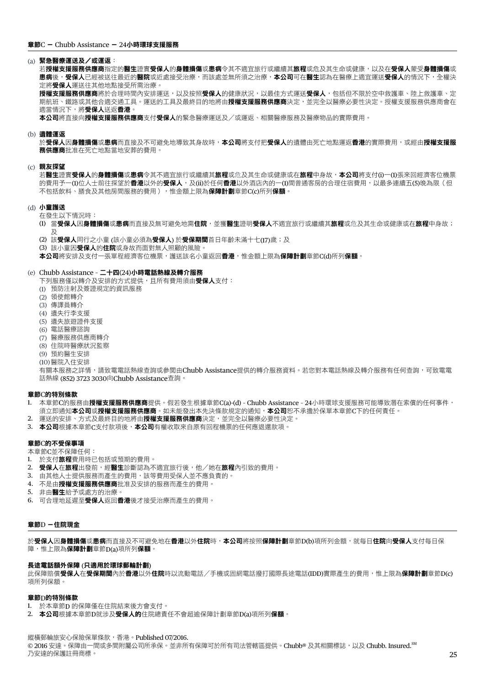#### (a) 緊急醫療運送及/或運返:

若**授權支援服務供應商**指定的醫生證實**受保人**的身體損傷或患病令其不適宜旅行或繼續其**旅程**或危及其生命或健康,以及在**受保人**蒙受身體損傷或 **患病**後,**受保人**已經被送往最近的醫院或近處接受治療,而該處並無所須之治療,**本公司**可在醫生認為在醫療上適宜運送**受保人**的情況下,全權決 定將受保人運送往其他地點接受所需治療。

授權支援服務供應商將於合理時間內安排運送,以及按照受保人的健康狀況,以最佳方式運送受保人,包括但不限於空中救護車、陸上救護車、定 期航班、鐵路或其他合適交通工具。運送的工具及最終目的地將由**授權支援服務供應商**決定,並完全以醫療必要性決定。授權支援服務供應商會在 適當情況下,將受保人送返香港。

本公司將直接向授權支援服務供應商支付受保人的緊急醫療運送及/或運返、相關醫療服務及醫療物品的實際費用。

#### (b) 遺體運返

於受保人因身體損傷或患病而直接及不可避免地導致其身故時,本公司將支付把受保人的遺體由死亡地點運返香港的實際費用,或經由**授權支援服** 務供應商批准在死亡地點當地安葬的費用。

#### (c) 親友探望

若醫生證實受保人的身體損傷或患病令其不適宜旅行或繼續其旅程或危及其生命或健康或在旅程中身故,本公司將支付(i)一(1)張來回經濟客位機票 的費用予一(1)位人士前往探望於**香港**以外的**受保人**,及(ii)於任何**香港**以外酒店內的一(1)間普通客房的合理住宿費用,以最多連續五(5)晚為限(但 不包括飲料、膳食及其他房間服務的費用),惟金額上限為保障計劃章節C(c)所列保額。

#### (d) 小童護送

在發生以下情況時:

(1) 當受保人因身體損傷或患病而直接及無可避免地需住院,並獲醫生證明受保人不適宜旅行或繼續其旅程或危及其生命或健康或在旅程中身故; 及

(2) 該受保人同行之小童 (該小童必須為受保人) 於受保期間首日年齡未滿十七(17)歲;及

(3) 該小童因受保人的住院或身故而面對無人照顧的風險。

本公司將安排及支付一張單程經濟客位機票,議送該名小童返回香港,惟金額上限為保障計劃章節C(d)所列保額。

## (e) Chubb Assistance – 二十四(24)小時電話熱線及轉介服務

下列服務僅以轉介及安排的方式提供,且所有費用須由**受保人**支付:

- (1) 預防注射及簽證規定的資訊服務
- (2) 領使館轉介
- (3) 傳譯員轉介
- (4) 遺失行李支援
- (5) 遺失旅遊證件支援
- (6) 電話醫療諮詢
- (7) 醫療服務供應商轉介
- (8) 住院時醫療狀況監察
- (9) 預約醫生安排
- (10) 醫院入住安排

有關本服務之詳情,請致電電話熱線查詢或參閱由Chubb Assistance提供的轉介服務資料。若您對本電話熱線及轉介服務有任何查詢,可致電電 話熱線 (852) 3723 3030向Chubb Assistance查詢。

#### 章節C的特別條款

- 1. 本章節C的服務由**授權支援服務供應商**提供。假若發生根據章節C(a)-(d) Chubb Assistance 24小時環球支援服務可能導致潛在索償的任何事件, 須立即通知本公司或授權支援服務供應商。如未能發出本先決條款規定的通知,本公司恕不承擔於保單本章節C下的任何責任
- 2. 運送的安排、方式及最終目的地將由**授權支援服務供應商**決定,並完全以醫療必要性決定。
- 3. 本公司根據本章節C支付款項後,本公司有權收取來自原有回程機票的任何應退還款項。

## 章節C的不受保事項

- 本章節C並不保障任何:
- 1. 於支付**旅程**費用時已包括或預期的費用。
- 2. 受保人在旅程出發前,經醫生診斷認為不適宜旅行後,他/她在旅程內引致的費用。
- 3. 由其他人士提供服務而產生的費用,該等費用受保人並不應負責的。
- 4. 不是由授權支援服務供應商批准及安排的服務而產生的費用。
- 5. 非由醫生給予或處方的治療。
- 6. 可合理地延遲至受保人返回香港後才接受治療而產生的費用。

#### 章節D -住院現金

於**受保人因身體損傷**或**患病**而直接及不可避免地在**香港**以外**住院**時,**本公司**將按照**保障計劃**章節D(b)項所列金額,就每日**住院向受保人**支付每日保 障,惟上限為**保障計劃**章節D(a)項所列**保額**。

## 長途電話額外保障 (只適用於環球郵輪計劃)

此保障賠償受保人在受保期間內於香港以外住院時以流動電話/手機或固網電話撥打國際長途電話(IDD)實際產生的費用,惟上限為保障計劃章節D(c) 項所列保額。

#### 章節D的特別條款

- 1. 於本章節D 的保障僅在住院結束後方會支付。
- 2. 本公司根據本章節D就涉及受保人的住院總責任不會超逾保障計劃章節D(a)項所列保額。

24 25 乃安達的保護註冊商標。 縱橫郵輪旅安心保險保單條款,香港。Published 07/2016. © 2016 安達。保障由一間或多間附屬公司所承保。並非所有保障可於所有司法管轄區提供。Chubb® 及其相關標誌,以及 Chubb. Insured. SM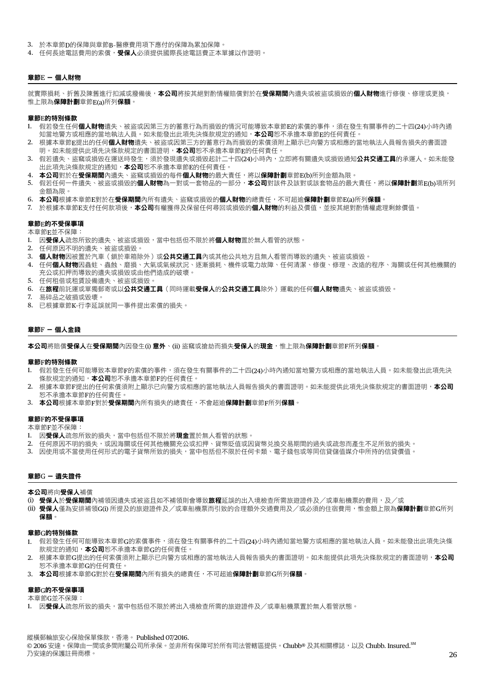- 3. 於本章節D的保障與章節B–醫療費用項下應付的保障為累加保障。
- 4. 任何長途電話費用的索償,受保人必須提供國際長途電話費正本單據以作證明。

#### 章節E - 個人財物

就實際損耗、折舊及陳舊進行扣減或撥備後,**本公司**將按其絕對酌情權賠償對於在**受保期間**內遺失或被盜或損毀的**個人財物**進行修復、修理或更換, 惟上限為保障計劃章節E(a)所列保額。

#### 章節E的特別條款

- 1. 假若發生任何**個人財物**遺失、被盜或因第三方的蓄意行為而損毀的情況可能導致本章節E的索償的事件,須在發生有關事件的二十四(24)小時內通 知當地警方或相應的當地執法人員。如未能發出此項先決條款規定的通知,**本公司**恕不承擔本章節E的任何責任。
- 2. 根據本章節E提出的任何**個人財物**遺失、被盜或因第三方的蓄意行為而損毀的索償須附上顯示已向警方或相應的當地執法人員報告損失的書面證 明。如未能提供此項先決條款規定的書面證明, 本公司恕不承擔本章節E的任何責任。
- 3. 促若遺失、盜竊或損毀在運送時發生,須於發現遺失或損毀起計二十四(24)小時內,立即將有關遺失或損毀通知**公共交通工具**的承運人。如未能發 出此項先決條款規定的通知, 本公司恕不承擔本章節E的任何責任。
- 4. 本公司對於在受保期間內遺失、盜竊或損毀的每件個人財物的最大責任,將以保障計劃章節E(b)所列金額為限。
- 5. 假若任何一件遺失、被盜或損毀的**個人財物**為一對或一套物品的一部分,本公司對該件及該對或該套物品的最大責任,將以保障計劃第E(b)項所列 金額為限。
- 6. 本公司根據本章節E對於在受保期間內所有遺失、盜竊或損毀的個人財物的總責任,不可超逾保障計劃章節E(a)所列保額。
- 7. 於根據本章節E支付任何款項後,**本公司**有權獲得及保留任何尋回或損毀的**個人財物**的利益及價值,並按其絕對酌情權處理剩餘價值。

#### 章節E的不受保事項

本章節E並不保障:

- 1. 因受保人疏忽所致的潰失、被盜或損毀,當中包括但不限於將個人財物置於無人看管的狀態。
- 2. 任何原因不明的遺失、被盜或損毀。
- 3. 個人財物因被置於汽車(鎖於車箱除外)或公共交通工具內或其他公共地方且無人看管而導致的遺失、被盜或損毀。
- 4. 任何**個人財物**因蟲蛀、蟲蝕、磨損、大氣或氣候狀況、逐漸損耗、機件或電力故障、任何清潔、修復、修理、改造的程序、海關或任何其他機關的 充公或扣押而導致的遺失或損毀或由他們造成的破壞。
- 5. 任何租借或租賃設備遺失、被盜或損毀
- 6. 在旅程前託運或單獨郵寄或以公共交通工具(同時運載受保人的公共交通工具除外)運載的任何個人財物遺失、被盜或損毀。
- 7. 易碎品之破損或毀壞。
- 8. 已根據章節K–行李延誤就同一事件提出索償的損失。

## 章節F - 個人金錢

本公司將賠償受保人在受保期間內因發生(i) 意外、(ii) 盜竊或搶劫而損失受保人的現金,惟上限為保障計劃章節F所列保額。

#### 章節F的特別條款

- 1. 假若發生任何可能導致本章節F的索償的事件,須在發生有關事件的二十四(24)小時內通知當地警方或相應的當地執法人員。如未能發出此項先決 條款規定的通知, 本公司恕不承擔本章節F的任何責任。
- 根據本章節F提出的任何索償須附上顯示已向警方或相應的當地執法人員報告損失的書面證明。如未能提供此項先決條款規定的書面證明,**本公司** 恕不承擔本章節F的任何責任。
- 3. 本公司根據本章節F對於受保期間內所有損失的總責任,不會超逾保障計劃章節F所列保額。

#### 章節F的不受保事項

本章節F並不保障:

- 1. 因受保人疏忽所致的損失,當中包括但不限於將現金置於無人看管的狀態。
- 2. 任何原因不明的損失,或因海關或任何其他機關充公或扣押、貨幣貶值或因貨幣兑換交易期間的過失或疏忽而產生不足所致的損失。
- 3. 因使用或不當使用任何形式的電子貨幣所致的損失,當中包括但不限於任何卡類、電子錢包或等同信貸儲值媒介中所持的信貸價值。

#### 章節G - 遺失證件

#### 本公司將向受保人補償

- (i) 受保人於受保期間內補領因遺失或被盜且如不補領則會導致旅程延誤的出入境檢查所需旅遊證件及/或車船機票的費用,及/或
- (ii) 受保人僅為安排補領G(i) 所提及的旅遊證件及/或車船機票而引致的合理額外交通費用及/或必須的住宿費用,惟金額上限為保障計劃章節G所列 保額。

## 章節G的特別條款

- 1. 假若發牛任何可能導致本章節G的索償事件,須在發牛有關事件的二十四(24)小時內通知當地警方或相應的當地執法人員。如未能發出此項先決條 款規定的通知, 本公司恕不承擔本章節G的任何責任。
- 2. 根據本章節G提出的任何索償須附上顯示已向警方或相應的當地執法人員報告捐失的書面證明。如未能提供此項先決條款規定的書面證明,**本公司** 恕不承擔本章節G的任何責任。
- 3. 本公司根據本章節G對於在受保期間內所有損失的總責任,不可超逾保障計劃章節G所列保額。

#### 章節G的不受保事項

本章節G並不保障:

1. 因**受保人**疏忽所致的損失,當中包括但不限於將出入境檢查所需的旅遊證件及/或車船機票置於無人看管狀態。

縱橫郵輪旅安心保險保單條款,香港。 Published 07/2016. © 2016 安達。保障由一間或多間附屬公司所承保。並非所有保障可於所有司法管轄區提供。Chubb® 及其相關標誌,以及 Chubb. Insured.<sup>SM</sup> 乃安達的保護註冊商標。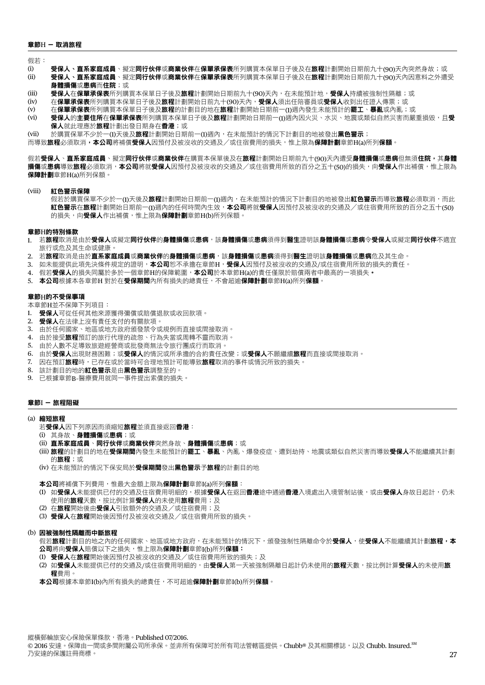假若:

- (<mark>i) **受保人、直系家庭成員**、擬定**同行伙伴或商業伙伴在保單承保表**所列購買本保單日子後及在旅程計劃開始日期前九十(90)天內突然身故;或<br>(ii) **受保人、直系家庭成員**、擬定**同行伙伴或商業伙伴在保單承保表**所列購買本保單日子後及在**旅程**計劃開始日期前九十(90)天內因意料之外遭</mark>
- 受保人、直系家庭成員、擬定同行伙伴或商業伙伴在保單承保表所列購買本保單日子後及在旅程計劃開始日期前九十(90)天內因意料之外遭受 身體損傷或患病而住院;或
- (iii) 受保人在保單承保表所列購買本保單日子後及旅程計劃開始日期前九十(90)天內,在未能預計地,受保人持續被強制性隔離;或
- (iv) 在保單承保表所列購買本保單日子後及旅程計劃開始日前九十(90)天內,受保人須出任陪審員或受保人收到出任證人傳票;或
- (v) 在保單承保表所列購買本保單日子後及旅程的計劃目的地在旅程計劃開始日期前一(1)週內發生未能預計的罷工、暴亂或內亂;或
- (vi) 受保人的主要住所在保單承保表所列購買本保單日子後及旅程計劃開始日期前一(1)週內因火災、水災、地震或類似自然災害而嚴重損毀,且受 保人就此理應於旅程計劃出發日期身在香港;或
- (vii) 於購買保單不少於一(1)天後及**旅程**計劃開始日期前一(1)週內,在未能預計的情況下計劃目的地被發出**黑色警示**;

而導致旅程必須取消,本公司將補償受保人因預付及被沒收的交通及/或住宿費用的損失,惟上限為保障計劃章節H(a)所列保額。

假若**受保人、直系家庭成員、**擬定**同行伙伴**或**商業伙伴**在購買本保單後及在**旅程**計劃開始日期前九十(90)天內遭受**身體損傷**或**患病**但無須**住院,**其**身體 損傷**或**患病**導致**旅程**必須取消,**本公司**將就**受保人**因預付及被沒收的交通及/或住宿費用所致的百分之五十(50)的損失,向**受保人**作出補償,惟上限為 保障計劃章節H(a)所列保額。

(viii) 紅色警示保障

假若於購買保單不少於一(1)天後及**旅程**計劃開始日期前一(1)週內,在未能預計的情況下計劃目的地被發出**紅色警示**而導致**旅程**必須取消,而此 紅色警示在旅程計劃開始日期前一(1)週內的任何時間內生效,本公司將就受保人因預付及被沒收的交通及/或住宿費用所致的百分之五十(50) 的損失,向受保人作出補償,惟上限為保障計劃章節H(b)所列保額。

#### 章節H的特別條款

- 1. 若旅程取消是由於**受保人**或擬定**同行伙伴的身體損傷或患病,該身體損傷或患病**須得到**醫生**證明該**身體損傷或患病令受保人**或擬定**同行伙伴**不適宜 旅行或危及其生命或健康。
- 2. 若**旅程**取消是由於**直系家庭成員或商業伙伴的身體損傷或患病,該身體損傷或患病包得到醫生**證明該身體損傷或患病危及其生命。
- 3. 如未能提供此項先決條件規定的證明,**本公司**恕不承擔在章節H,**受保人**因預付及被沒收的交通及/或住宿費用所致的損失的責任。
- 4. 假若**受保人**的損失同屬於多於一個章節H的保障範圍,**本公司**於本章節H(a)的責任僅限於賠償兩者中最高的一項損失。
- 5. 本公司根據本各章節H 對於在受保期間內所有損失的總責任,不會超逾保障計劃章節H(a)所列保額。

#### 章節H的不受保事項

本章節H並不保障下列項目:

- 1. 受保人可從任何其他來源獲得彌償或賠償退款或收回款項。
- 2. 受保人在法律上沒有責任支付的有關款項。
- 3. 由於任何國家、地區或地方政府頒發禁令或規例而直接或間接取消。
- 4. 由於接受旅程預訂的旅行代理的疏忽、行為失當或周轉不靈而取消。
- 5. 由於人數不足導致旅遊經營商或批發商無法令旅行團成行而取消。
- 6. 由於受保人出現財務困難;或受保人的情況或所承擔的合約責任改變;或受保人不願繼續旅程而直接或間接取消。
- 7. 因在預訂**旅程**時,已存在或於當時可合理地預計可能導致**旅程**取消的事件或情況所致的損失。
- 8. 該計劃目的地的**紅色警示**是由黑色警示調整至的。
- 9. 已根據章節B–醫療費用就同一事件提出索償的損失。

#### 章節I - 旅程阻礙

#### (a) 縮短旅程

- 若受保人因下列原因而須縮短旅程並須直接返回香港:
- (i) 其身故、身體損傷或患病;或
- (ii) 直系家庭成員、同行伙伴或商業伙伴突然身故、身體損傷或患病;或
- (iii) 旅程的計劃目的地在受保期間內發生未能預計的罷工、暴亂、內亂、爆發疫症、遭到劫持、地震或類似自然災害而導致受保人不能繼續其計劃 的旅程;或

(iv) 在未能預計的情況下保安局於受保期間發出黑色警示予旅程的計劃目的地

本公司將補償下列費用,惟最大金額上限為保障計劃章節I(a)所列保額:

- (1) 如受保人未能提供已付的交通及住宿費用明細的,根據受保人在返回香港途中通過香港入境處出入境管制站後,或由受保人身故日起計,仍未 使用的旅程天數,按比例計算受保人的未使用旅程費用;及
- (2) 在旅程開始後由受保人引致額外的交通及/或住宿費用;及
- (3) 受保人在旅程開始後因預付及被沒收交通及/或住宿費用所致的損失。

#### (b) 因被強制性隔離而中斷旅程

假若旅程計劃目的地之內的任何國家、地區或地方政府,在未能預計的情況下,頒發強制性隔離命令於**受保人**,使**受保人**不能繼續其計劃**旅程,本** 公司將向受保人賠償以下之損失,惟上限為保障計劃章節I(b)所列保額:

- (1) 受保人在旅程開始後因預付及被沒收的交通及/或住宿費用所致的損失;及
- (2) 如受保人未能提供已付的交通及/或住宿費用明細的,由受保人第一天被強制隔離日起計仍未使用的旅程天數,按比例計算受保人的未使用旅 程費用。

本公司根據本章節I(b)內所有損失的總責任,不可超逾保障計劃章節I(b)所列保額。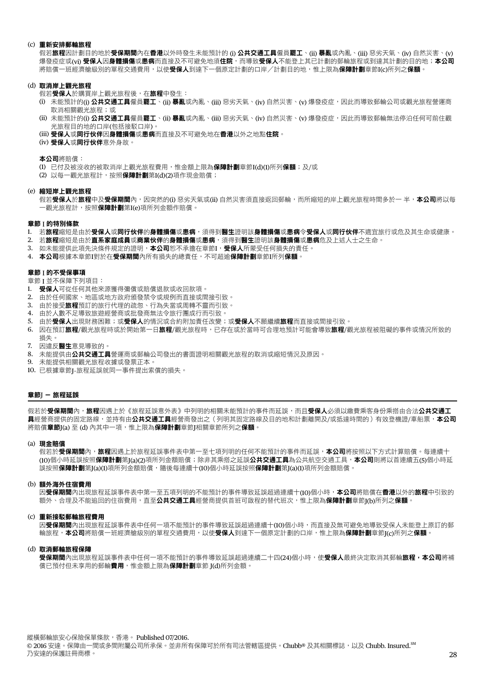#### (c) 重新安排郵輪旅程

假若**旅程**因計劃目的地於**受保期間**內在**香港**以外時發生未能預計的 (i) 公共交通工具僱員罷工、(ii) 暴亂或內亂、(iii) 惡劣天氣、(iv) 自然災害、(v) 爆發疫症或(vi) 受保人因身體損傷或患病而直接及不可避免地須住院,而導致受保人不能登上其已計劃的郵輪旅程或到達其計劃的目的地;本公司 將賠償一班經濟艙級別的單程交通費用,以使**受保人**到達下一個原定計劃的口岸/計劃目的地,惟上限為**保障計劃**章節I(c)所列之**保額**。

#### (d) 取消岸上觀光旅程

- 假若受保人於購買岸上觀光旅程後,在旅程中發生:
- (i) 未能預計的(i) 公共交通工具僱員罷工、(ii) 暴亂或內亂、(iii) 惡劣天氣、(iv) 自然災害、(v) 爆發疫症,因此而導致郵輪公司或觀光旅程營運商 取消相關觀光旅程;或
- (ii) 未能預計的(i) 公共交通工具僱員罷工、(ii) 暴亂或內亂、(iii) 惡劣天氣、(iv) 自然災害、(v) 爆發疫症,因此而導致郵輪無法停泊任何可前住觀 光旅程目的地的口岸(包括接駁口岸)。
- (iii) 受保人或同行伙伴因身體損傷或患病而直接及不可避免地在香港以外之地點住院。
- (iv) 受保人或同行伙伴意外身故。

#### 本公司將賠償:

- (1) 已付及被沒收的被取消岸上觀光旅程費用,惟金額上限為保**障計劃**章節I(d)(1)所列**保額**;及/或
- (2) 以每一觀光旅程計,按照保障計劃第I(d)(2)項作現金賠償;

#### (e) 縮短岸上觀光旅程

假若**受保人於旅程**中及**受保期間**內,因突然的(i) 惡劣天氣或(ii) 自然災害須直接返回郵輪,而所縮短的岸上觀光旅程時間多於一 半,本公司將以每 -觀光旅程計,按照**保障計劃**第I(e)項所列金額作賠償。

#### 章節 I 的特別條款

- 1. 若旅程縮短是由於受保人或同行伙伴的身體損傷或患病,須得到醫生證明該身體損傷或患病令受保人或同行伙伴不適宜旅行或危及其生命或健康。
- 2. 若旅程縮短是由於**直系家庭成員或商業伙伴的身體損傷或患病,**須得到**醫生**證明該**身體損傷或患病**危及上述人士之生命。
- 3. 如未能提供此項先決條件規定的證明,本公司恕不承擔在章節I,要保人所蒙受任何損失的責任。
- 4. 本公司根據本章節I對於在受保期間內所有損失的總責任,不可超逾保障計劃章節I所列保額。

#### 章節 I 的不受保事項

- 章節 I 並不保障下列項目:
- 1. 受保人可從任何其他來源獲得彌償或賠償退款或收回款項。
- 2. 由於任何國家、地區或地方政府頒發禁令或規例而直接或間接引致。
- 3. 由於接受旅程預訂的旅行代理的疏忽、行為失當或周轉不靈而引致。
- 4. 由於人數不足導致旅遊經營商或批發商無法令旅行團成行而引致。
- 5. 由於受保人出現財務困難;或受保人的情況或合約附加責任改變;或受保人不願繼續旅程而直接或間接引致。
- 6. 因在預訂**旅程/**觀光旅程時或於開始第一日**旅程/**觀光旅程時,已存在或於當時可合理地預計可能會導致**旅程/**觀光旅程被阻礙的事件或情況所致的 損失。
- 7. 因違反醫生意見導致的。
- 8. 未能提供由公共交通工具營運商或郵輪公司發出的書面證明相關觀光旅程的取消或縮短情況及原因。
- 9. 未能提供相關觀光旅程收據或發票正本。
- 10. 已根據章節I-旅程延誤就同一事件提出索償的損失。

## 章節J - 旅程延誤

假若於**受保期間**內,**旅程**因遇上於《旅程延誤意外表》中列明的相關未能預計的事件而延誤,而且**受保人**必須以繳費乘客身份乘搭由合法**公共交通工 具**經營商提供的固定路線,並持有由**公共交通工具**經營商發出之(列明其固定路線及目的地和計劃離開及/或抵達時間的)有效登機證/車船票,**本公司** 將賠償章節J(a) 至 (d) 內其中一項,惟上限為保障計劃章節J相關章節所列之保額。

#### (a) 現金賠償

假若於**受保期間**內,**旅程**因遇上於旅程延誤事件表中第一至七項列明的任何不能預計的事件而延誤,**本公司**將按照以下方式計算賠償。每連續十 (10)個小時延誤按照保障計劃第J(a)(2)項所列金額賠償;除非其乘搭之延誤公共交通工具為公共航空交通工具,本公司則將以首連續五(5)個小時延 誤按照保障計劃第I(a)(1)項所列金額賠償,隨後每連續十(10)個小時延誤按照保障計劃第I(a)(1)項所列金額賠償。

#### (b) 額外海外住宿費用

因**受保期間**內出現旅程延誤事件表中第一至五項列明的不能預計的事件導致延誤超過連續十(10)個小時,**本公司**將賠償在**香港**以外的**旅程**中引致的 額外、合理及不能追回的住宿費用,直至公共交通工具經營商提供首班可啟程的替代班次,惟上限為保障計劃章節J(b)所列之保額。

#### (c) 重新接駁郵輪旅程費用

因**受保期間**內出現旅程延誤事件表中任何一項不能預計的事件導致延誤超過連續十(10)個小時,而直接及無可避免地導致受保人未能登上原訂的郵 輪旅程,本公司將賠償一班經濟艙級別的單程交通費用,以使受保人到達下一個原定計劃的口岸,惟上限為保障計劃章節I(c)所列之保額。

#### (d) 取消郵輪旅程保障

**受保期間**內出現旅程延誤事件表中任何一項不能預計的事件導致延誤超過連續<sup>一</sup>十四(24)個小時,使**受保人**最終決定取消其郵輪**旅程,本公司**將補 償已預付但未享用的郵輪費用,惟金額上限為保障計劃章節 J(d)所列金額。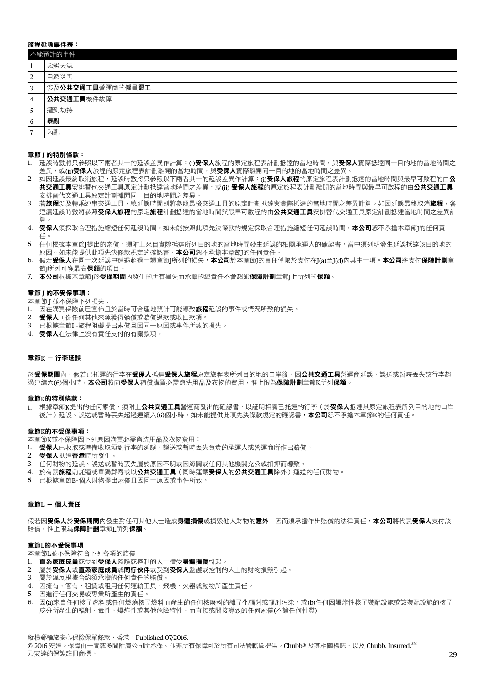## 旅程延誤事件表:

| 不能預計的事件        |                  |
|----------------|------------------|
| 1              | 惡劣天氣             |
| 2              | 自然災害             |
| 3              | 涉及公共交通工具營運商的僱員罷工 |
| $\overline{4}$ | 公共交通工具機件故障       |
| 5              | 遭到劫持             |
| 6              | 暴亂               |
| -              | 內亂               |

#### 章節 J 的特別條款:

- 1. 延誤時數將只參照以下兩者其一的延誤差異作計算:(i)**受保人**旅程的原定旅程表計劃抵達的當地時間,與**受保人**實際抵達同一目的地的當地時間之 差異,或(ii)受保人旅程的原定旅程表計劃離開的當地時間,與受保人實際離開同一目的地的當地時間之差異。
- 2. 如因延誤最終取消旅程,延誤時數將只參照以下兩者其一的延誤差異作計算:(i)**受保人旅程**的原定旅程表計劃抵達的當地時間與最早可啟程的由公 共交通工具安排替代交通工具原定計劃抵達當地時間之差異,或(ii) **受保人旅程**的原定旅程表計劃離開的當地時間與最早可啟程的由**公共交通工具** 安排替代交通工具原定計劃離開同一目的地時間之差異。
- 3. 若**旅程**涉及轉乘連串交通工具,總延誤時間則將參照最後交通工具的原定計劃抵達與實際抵達的當地時間之差異計算。如因延誤最終取消**旅程**,各 連續延誤時數將參照**受保人旅程**的原定**旅程**計劃抵達的當地時間與最早可啟程的由**公共交通工具**安排替代交通工具原定計劃抵達當地時間之差異計 算。
- 4. 受保人須採取合理措施縮短任何延誤時間。如未能按照此項先決條款的規定採取合理措施縮短任何延誤時間,本公司恕不承擔本章節I的任何責 任。
- 5. 任何根據本章節I提出的索償,須附上來自實際抵達所列目的地的當地時間發生延誤的相關承運人的確認書,當中須列明發生延誤抵達該目的地的 原因。如未能提供此項先決條款規定的確認書,本公司恕不承擔本章節I的任何責任。
- 6. 假若**受保人**在同一次延誤中遭遇超過一類章節I所列的損失,**本公司**於本章節I的責任僅限於支付在I(a)至I(d)內其中一項。**本公司**將支付**保障計劃**章 節J所列可獲最高**保額**的項目。
- 7. 本公司根據本章節I於受保期間內發生的所有損失而承擔的總責任不會超逾保障計劃章節I上所列的保額。

#### 章節 J 的不受保事項:

本章節 J 並不保障下列損失:

- 1. 因在購買保險前已宣佈且於當時可合理地預計可能導致旅程延誤的事件或情況所致的損失。
- 2. 受保人可從任何其他來源獲得彌償或賠償退款或收回款項。
- 3. 已根據章節I –旅程阻礙提出索償且因同一原因或事件所致的損失。
- 4. 受保人在法律上沒有責任支付的有關款項。

## 章節K - 行李延誤

於**受保期間**內,假若已托運的行李在**受保人**抵達**受保人旅程**原定旅程表所列目的地的口岸後,因**公共交通工具**營運商延誤、誤送或暫時丟失該行李超 過連續六(6)個小時,**本公司**將向**受保人**補償購買必需盥洗用品及衣物的費用,惟上限為**保障計劃**章節K所列**保額**。

#### 章節K的特別條款:

1. 根據章節K提出的任何索償,須附上**公共交通工具**營運商發出的確認書,以証明相關已托運的行李(於**受保人**抵達其原定旅程表所列目的地的口岸 後計)延誤、誤送或暫時丟失超過連續六(6)個小時。如未能提供此項先決條款規定的確認書,**本公司**恕不承擔本章節K的任何責任。

#### 章節K的不受保事項:

- 本章節K並不保障因下列原因購買必需盥洗用品及衣物費用:
- 1. 受保人已收取或準備收取須對行李的延誤、誤送或暫時丟失負責的承運人或營運商所作出賠償。
- 2. 受保人抵達香港時所發生。
- 3. 任何財物的延誤、誤送或暫時丟失屬於原因不明或因海關或任何其他機關充公或扣押而導致。
- 4. 於有關旅程前託運或單獨郵寄或以公共交通工具(同時運載受保人的公共交通工具除外)運送的任何財物。
- 5. 已根據章節E–個人財物提出索償且因同一原因或事件所致。

#### 章節L - 個人責任

假若因受保人於受保期間內發生對任何其他人士造成身體損傷或損毀他人財物的意外,因而須承擔作出賠償的法律責任,本公司將代表受保人支付該 賠償,惟上限為保障計劃章節L所列保額。

#### 章節L的不受保事項

- 本章節L並不保障符合下列各項的賠償:
- 1. 直系家庭成員或受到受保人監護或控制的人士遭受身體損傷引起。
- 2. 屬於受保人或直系家庭成員或同行伙伴或受到受保人監護或控制的人士的財物損毀引起。
- 3. 屬於違反根據合約須承擔的任何責任的賠償。
- 4. 因擁有、管有、租賃或租用任何運輸工具、飛機、火器或動物所產生責任。
- 5. 因進行任何交易或專業所產生的責任。
- 6. 因(a)來自任何核子燃料或任何燃燒核子燃料而產生的任何核廢料的離子化輻射或輻射污染,或(b)任何因爆炸性核子裝配設施或該裝配設施的核子 成分所產生的輻射、毒性、爆炸性或其他危險特性,而直接或間接導致的任何索償(不論任何性質)。

28 29 乃安達的保護註冊商標。 縱橫郵輪旅安心保險保單條款,香港。Published 07/2016. © 2016 安達。保障由一間或多間附屬公司所承保。並非所有保障可於所有司法管轄區提供。Chubb® 及其相關標誌,以及 Chubb. Insured. SM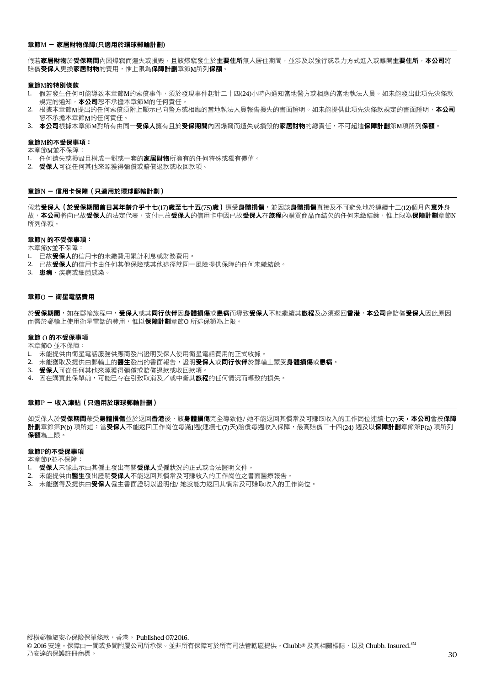#### 章節M - 家居財物保障(只適用於環球郵輪計劃)

假若**家居財物**於**受保期間**內因爆竊而遺失或損毀,且該爆竊發生於**主要住所**無人居住期間,並涉及以強行或暴力方式進入或離開**主要住所,本公司**將 賠償受保人更換家居財物的費用,惟上限為保障計劃章節M所列保額。

#### 章節M的特別條款

- 1. 假若發生任何可能導致本章節M的索償事件,須於發現事件起計二十四(24)小時內通知當地警方或相應的當地執法人員。如未能發出此項先決條款 規定的通知, 本公司恕不承擔本章節M的任何責任。
- 2. 根據本章節M提出的任何索償須附上顯示已向警方或相應的當地執法人員報告損失的書面證明。如未能提供此項先決條款規定的書面證明,**本公司** 恕不承擔本章節M的任何責任。
- 3. 本公司根據本章節M對所有由同一受保人擁有且於受保期間內因爆竊而遺失或損毀的家居財物的總責任,不可超逾保障計劃第M項所列保額。
- 章節M的不受保事項:

本章節M並不保障:

- 1. 任何遺失或損毀且構成一對或一套的**家居財物**所擁有的任何特殊或獨有價值。
- 2. 受保人可從任何其他來源獲得彌償或賠償退款或收回款項。

#### 章節N - 信用卡保障(只適用於環球郵輪計劃)

假若**受保人(於受保期間首日其年齡介乎十七(17)歲至七十五(75)歲)**遭受**身體損傷**,並因該**身體損傷**直接及不可避免地於連續十二(12)個月內**意外**身 故,**本公司**將向已故**受保人**的法定代表,支付已故**受保人**的信用卡中因已故**受保人**在**旅程**內購買商品而結欠的任何未繳結餘,惟上限為**保障計劃**章節N 所列保額。

#### 章節N 的不受保事項:

本章節N並不保障:

- 1. 已故受保人的信用卡的未繳費用累計利息或財務費用。
- 2. 已故受保人的信用卡由任何其他保險或其他途徑就同一風險提供保障的任何未繳結餘。
- 3. 患病、疾病或細菌感染。

#### 章節O - 衛星電話費用

於**受保期間**,如在郵輪旅程中,**受保人**或其**同行伙伴因身體損傷或患病**而導致**受保人**不能繼續其**旅程**及必須返回**香港,本公司**會賠償**受保人**因此原因 而需於郵輪上使用衛星電話的費用,惟以保障計劃章節O 所述保額為上限。

#### 章節 O 的不受保事項

本章節O 並不保障:

- 1. 未能提供由衛星電話服務供應商發出證明受保人使用衛星電話費用的正式收據。
- 2. 未能獲取及提供由郵輪上的醫生發出的書面報告,證明受保人或同行伙伴於郵輪上蒙受身體損傷或患病。
- 3. 受保人可從任何其他來源獲得彌償或賠償退款或收回款項。
- 4. 因在購買此保單前,可能已存在引致取消及/或中斷其旅程的任何情況而導致的損失。

#### 章節P - 收入津貼(只適用於環球郵輪計劃)

如受保人於**受保期間**蒙受**身體損傷**並於返回**香港**後,該**身體損傷**完全導致他/ 她不能返回其慣常及可賺取收入的工作崗位連續七(7)天,本公司會按保障 計劃章節第P(b) 項所述:當**受保人**不能返回工作崗位每滿1週(連續七(7)天)賠償每週收入保障,最高賠償二十四(24) 週及以**保障計劃**章節第P(a) 項所列 保額為上限。

#### 章節P的不受保事項

本章節P並不保障:

- 1. 受保人未能出示由其僱主發出有關受保人受僱狀況的正式或合法證明文件。
- 2. 未能提供由醫生發出證明受保人不能返回其慣常及可賺收入的工作崗位之書面醫療報告。
- 3. 未能獲得及提供由受保人僱主書面證明以證明他/ 她沒能力返回其慣常及可賺取收入的工作崗位。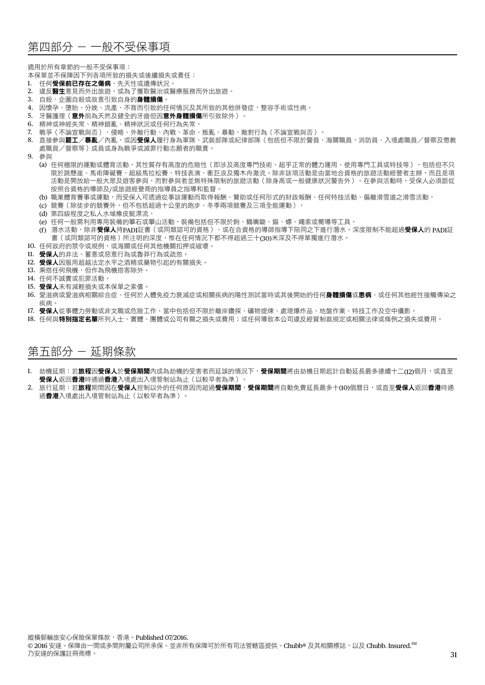適用於所有章節的一般不受保事項:

本保單並不保障因下列各項所致的損失或後繼損失或責任:

- 1. 任何受保前已存在之傷病、先天性或遺傳狀況。
- 2. 違反醫生意見而外出旅遊,或為了獲取醫治或醫療服務而外出旅遊。
- 3. 自殺、企圖自殺或故意引致自身的身體損傷。
- 4. 因懷孕、墮胎、分娩、流產、不育而引致的任何情況及其所致的其他併發症,整容手術或性病。
- 5. 牙醫護理(意外前為天然及健全的牙齒但因意外身體損傷所引致除外)。
- 6. 精神或神經失常、精神錯亂、精神狀況或任何行為失常。
- 7. 戰爭(不論宣戰與否)、侵略、外敵行動、內戰、革命、叛亂、暴動、敵對行為(不論宣戰與否)。
- 8. 直接參與**罷工/暴亂/**內亂,或因**受保人**履行身為軍隊、武裝部隊或紀律部隊(包括但不限於警員、海關職員、消防員、入境處職員/督察及懲教 處職員/督察等)成員或身為戰爭或滅罪行動志願者的職責。
- 9. 參與
	- (a) 任何極限的運動或體育活動,其性質存有高度的危險性(即涉及高度專門技術、超乎正常的體力運用、使用專門工具或特技等),包括但不只 限於跳懸崖、馬術障礙賽、超級馬拉松賽、特技表演、衝巨浪及獨木舟激流。除非該項活動是由當地合資格的旅遊活動經營者主辦,而且是項 活動是開放給一般大眾及遊客參與,而對參與者並無特殊限制的旅遊活動(除身高或一般健康狀況警告外)。在參與活動時,受保人必須跟從 按照合資格的導師及/或旅遊經營商的指導員之指導和監督。
	- (b) 職業體育賽事或運動,而受保人可透過從事該運動而取得報酬、贊助或任何形式的財政報酬、任何特技活動、偏離滑雪道之滑雪活動,
	- (c) 競賽(除徒步的競賽外,但不包括超過十公里的跑步、冬季兩項競賽及三項全能運動),
	- (d) 第四級程度之私人水域橡皮艇漂流,
	- (e) 任何一般需利用專用裝備的攀石或攀山活動,裝備包括但不限於鉤、鶴嘴鋤、錨、螺、繩索或嚮導等工具,
	- (f) 潛水活動,除非**受保人**持PADI証書(或同類認可的資格)、或在合資格的導師指導下陪同之下進行潛水。深度限制不能超過**受保人**的 PADI証 書(或同類認可的資格)所注明的深度,惟在任何情況下都不得超過三十(30)米深及不得單獨進行潛水。
- 10. 任何政府的禁令或規例,或海關或任何其他機關扣押或破壞。
- 11. 受保人的非法、蓄意或惡意行為或魯莽行為或疏忽。
- 12. 受保人因服用超越法定水平之酒精或藥物引起的有關損失。
- 13. 乘搭任何飛機,但作為飛機搭客除外。
- 14. 任何不誠實或犯罪活動
- 15. 受保人未有減輕損失或本保單之索償。
- 16. 愛滋病或愛滋病相關綜合症、任何於人體免疫力衰減症或相關疾病的陽性測試當時或其後開始的任何身體損傷或患病、或任何其他經性接觸傳染之 疾病。
- 17. 受保人從事體力勞動或非文職或危險工作,當中包括但不限於離岸鑽探、礦物提煉、處理爆炸品、地盤作業、特技工作及空中攝影。
- 18. 任何與**特別指定名單**所列人士、實體、團體或公司有關之損失或費用;或任何導致本公司違反經貿制裁規定或相關法律或條例之損失或費用。

## 第五部分 - 延期條款

- 1. 劫機延期:若**旅程因受保人**於**受保期間**內成為劫機的受害者而延誤的情況下,**受保期間**將由劫機日期起計自動延長最多連續十二(12)個月,或直至 受保人返回香港時通過香港入境處出入境管制站為止(以較早者為準)。
- 2. 旅行延期:若**旅程**期間因在**受保人**控制以外的任何原因而超過**受保期間,受保期間**將自動免費延長最多十(10)個曆日,或直至**受保人**返回**香港**時通 過香港入境處出入境管制站為止(以較早者為準)。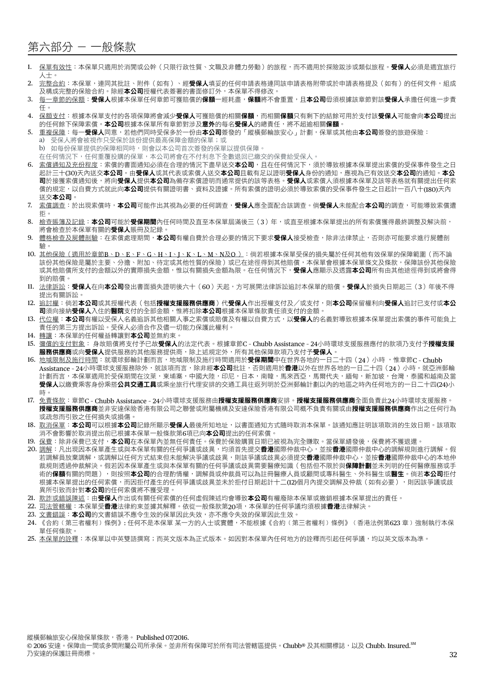## 第六部分 - 一般條款

- 1. 保單有效性:本保單只滴用於消間或公幹(只限行政性質、文職及非體力勞動)的旅程,而不滴用於探險跋涉或類似旅程。**受保人**必須是滴宜旅行 人士。
- 2. 完整合約:本保單,連同其批註、附件(如有)、經**受保人**填妥的任何申請表格連同該申請表格附帶或於申請表格提及(如有)的任何文件,組成 及構成完整的保險合約。除經本公司授權代表簽署的書面修訂外,本保單不得修改。
- 3. 每一章節的保額:**受保人**根據本保單任何章節可獲賠償的**保額一**經耗盡,**保額**將不會重置,且**本公司**毋須根據該章節對該**受保人**承擔任何進一步責 任。
- 4. 保額支付:根據本保單支付的各項保障將會減少**受保人**可獲賠償的相關**保額**,而相關**保額**只有剩下的結餘可用於支付該**受保人**可能會向**本公司**提出 的任何餘下保障索償。本公司根據本保單所有章節對涉及意外的每名受保人的總責任,將不超逾相關保額。
- 5. 重複保障:每一**受保人**同意,若他們同時受保多於一份由**本公司**簽發的「縱橫郵輪旅安心」計劃,保單或其他由**本公司**簽發的旅遊保險:

a) 受保人將會被視作只受保於該份提供最高保障金額的保單;或

b) 如每份保單提供的保障相同時,則會以本公司首次簽發的保單以提供保障。

在任何情況下,任何重覆投購的保單,本公司將會在不付利息下全數退回已繳交的保費給受保人。

- 6. 索償通知及充份程度:索償的書面通知必須在合理的情況下盡早送交本公司,且在任何情況下,須於導致根據本保單提出索償的受保事件發生之日 起計三十(30)天內送交**本公司。由受保人**或其代表或索償人送交**本公司**且載有足以證明**受保人**身份的通知,應視為已有效送交**本公司**的通知。**本公 司**於接獲索償通知後,將向**受保人**提供**本公司**為備存索償證明而通常提供的該等表格。**受保人**或索償人須根據本保單及該等表格就有關提出任何索 償的規定,以自費方式就此向本公司提供有關證明書、資料及證據。所有索償的證明必須於導致索償的受保事件發生之日起計一百八十(180)天內 送交本公司。
- 7. 索償調查:於出現索償時,**本公司**可能作出其視為必要的任何調查,**受保人**應全面配合該調查。倘**受保人**未能配合**本公司**的調查,可能導致索償遭 拒。
- 8. 檢查賬簿及記錄:本公司可能於受保期間內任何時間及直至本保單屆滿後三 (3)年,或直至根據本保單提出的所有索償獲得最終調整及解決前, 將會檢查於本保單有關的**受保人**賬冊及記錄。
- 9. 體格檢查及屍體剖驗:在索償處理期間,**本公司**有權自費於合理必要的情況下要求**受保人**接受檢查,除非法律禁止,否則亦可能要求進行屍體剖 驗。
- 10. 其他保險(適用於章節B、D、E、F、G、H、I、J、K、L、M、N及O):倘若根據本保單受保的損失屬於任何其他有效保單的保障範圍(而不論 該份其他保險是屬於主要、分擔、附加、待定或其他性質的保險)或已在途徑得到其他賠償,本保單會根據本保單條文及條款,保障該份其他保險 或其他賠償所支付的金額以外的實際損失金額,惟以有關損失金額為限。在任何情況下,**受保人**應顯示及透露**本公司**所有由其他途徑得到或將會得 到的賠償。
- 11. 法律訴訟:**受保人**在向**本公司**發出書面損失證明後六十(60)天起,方可展開法律訴訟追討本保單的賠償。**受保人**於損失日期起三(3)年後不得 提出有關訴訟。
- 12. <u>追討權</u>:倘若**本公司**或其授權代表(包括**授權支援服務供應商**)代**受保人**作出授權支付及/或支付,則**本公司**保留權利向**受保人**追討已支付或**本公** 司須向接納受保人入住的醫院支付的全部金額,惟將扣除本公司根據本保單條款責任須支付的金額。
- 13. 代位權:本公司有權以受保人名義追訴其他相關人事之索償或賠償及有權以自費方式,以受保人的名義對導致根據本保單提出索償的事件可能負上 責任的第三方提出訴訟。受保人必須合作及儘一切能力保護此權利。
- 14. 轉讓:本保單的任何權益轉讓對本公司並無約束。
- 15. 彌償的支付對象:身故賠償將支付予已故**受保人**的法定代表。根據章節C Chubb Assistance 24小時環球支援服務應付的款項乃支付予**授權支援** 服務供應商或向受保人提供服務的其他服務提供商,除上述規定外,所有其他保障款項乃支付予受保人。
- 16. <u>地域限制及施行時間</u>:就環球郵輪計劃而言,地域限制及施行時間適用於**受保期間**中在世界各地的一日二十四(24)小時 ,惟章節C Chubb Assistance - 24小時環球支援服務除外,就該項而言,除非經**本公司**批註,否則適用於**香港**以外在世界各地的一日二十四(24)小時。就亞洲郵輪 計劃而言,本保單適用於受保期間在汶萊,柬埔寨,中國大陸,印尼,日本,南韓,馬來西亞,馬爾代夫,緬甸,新加坡,台灣,泰國和越南及當 受保人以繳費乘客身份乘搭公共交通工具或乘坐旅行代理安排的交通工具往返列明於亞洲郵輪計劃以內的地區之時內任何地方的一日二十四(24)小 時。
- 17. 免責條款:章節C Chubb Assistance 24小時環球支援服務由**授權支援服務供應商**安排。**授權支援服務供應商**全面負責此24小時環球支援服務。 **授權支援服務供應商**並非安達保險香港有限公司之聯營或附屬機構及安達保險香港有限公司概不負責有關或由**授權支援服務供應商**作出之任何行為 或疏忽而引致之任何損失或損傷。
- 18. 取消保單:本公司可以根據本公司記錄所顯示受保人最後所知地址,以書面通知方式隨時取消本保單。該通知應註明該項取消的生效日期。該項取 消不會影響於取消提出前已根據本保單一般條款第6項已向本公司提出的任何索償。
- 19. 保費:除非保費已支付,本公司在本保單內並無任何責任。保費於保險購買日期已被視為完全賺取。當保單繕發後,保費將不獲退還。
- 20. 調解:凡出現因本保單產生或與本保單有關的任何爭議或歧異,均須首先提交**香港**國際仲裁中心,並按**香港**國際仲裁中心的調解規則進行調解。假 若調解員放棄調解,或調解以任何方式結束但未能解決爭議或歧異,則該爭議或歧異必須提交**香港**國際仲裁中心,並按**香港**國際仲裁中心的本地仲 裁規則透過仲裁解決。假若因本保單產生或與本保單有關的任何爭議或歧異需要醫療知識(包括但不限於與**保障計劃**並未列明的任何醫療服務或手 術的**保額**有關的問題),則按照**本公司**的合理酌情權,調解員或仲裁員可以為註冊醫療人員或顧問或專科醫生、外科醫生或**醫生**。倘若**本公司**拒付 根據本保單提出的任何索償,而因拒付產生的任何爭議或歧異並未於拒付日期起計十二(12)個月內提交調解及仲裁(如有必要),則因該爭議或歧 異所引致而針對本公司的任何索償將不獲受理。
- 21. 欺詐或錯誤陳述:由受保人作出或有關任何索償的任何虛假陳述均會導致本公司有權廢除本保單或撤銷根據本保單提出的責任。
- 22. 司法管轄權:本保單受**香港**法律約束並據其解釋。依從一般條款第20項,本保單的任何爭議均須根據**香港**法律解決。
- 23. 文書錯誤:本公司的文書錯誤不應令生效的保單因此失效,亦不應令失效的保單因此生效。
- 24. 《合約(第三者權利)條例》: 任何不是本保單 某一方的人士或實體, 不能根據《合約(第三者權利)條例》(香港法例第623 章) 強制執行本保 單任何條款。
- 25. 本保單的詮釋: 本保單以中英雙語撰寫;而英文版本為正式版本。如因對本保單內任何地方的詮釋而引起任何爭議,均以英文版本為準。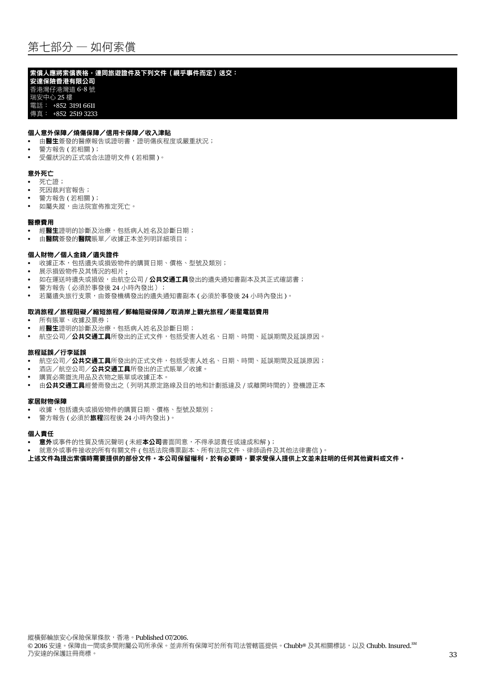## 索償人應將索償表格,連同旅遊證件及下列文件(視乎事件而定)送交:

安達保險香港有限公司 香港灣仔港灣道 6–8 號 瑞安中心 25 樓 電話: +852 3191 6611 傳真: +852 2519 3233

#### 個人意外保障/燒傷保障/信用卡保障/收入津貼

- 由醫生簽發的醫療報告或證明書,證明傷疾程度或嚴重狀況;
- 警方報告 (若相關);
- • 受僱狀況的正式或合法證明文件 ( 若相關 )。

#### 意外死亡

- 死亡證;
- • 死因裁判官報告;
- 警方報告 (若相關);
- 如屬失蹤,由法院宣佈推定死亡。

#### 醫療費用

- 經**醫生**證明的診斷及治療,包括病人姓名及診斷日期;
- 由醫院簽發的醫院賬單/收據正本並列明詳細項目;

#### 個人財物/個人金錢/遺失證件

- 收據正本,包括遺失或損毀物件的購買日期、價格、型號及類別;
- **展示損毀物件及其情況的相片;**
- 如在運送時遺失或損毀,由航空公司 / 公共交通工具發出的遺失通知書副本及其正式確認書;
- 警方報告(必須於事發後 24 小時內發出);
- 若屬遺失旅行支票,由簽發機構發出的遺失通知書副本 ( 必須於事發後 24 小時內發出 )。

#### 取消旅程/旅程阻礙/縮短旅程/郵輪阻礙保障/取消岸上觀光旅程/衛星電話費用

- 所有賬單、收據及票券;
- 經醫生證明的診斷及治療,包括病人姓名及診斷日期;
- 航空公司/公共交通工具所發出的正式文件,包括受害人姓名、日期、時間、延誤期間及延誤原因。

#### 旅程延誤/行李延誤

- 航空公司/公共交通工具所發出的正式文件,包括受害人姓名、日期、時間、延誤期間及延誤原因;
- 酒店/航空公司/公共交通工具所發出的正式賬單/收據。
- 購買必需盥洗用品及衣物之賬單或收據正本。
- 由公共交通工具經營商發出之 (列明其原定路線及目的地和計劃抵達及 / 或離開時間的) 登機證正本

#### 家居財物保障

- 收據,包括遺失或損毀物件的購買日期、價格、型號及類別;
- 警方報告 ( 必須於**旅程**回程後 24 小時內發出 )。

#### 個人責任

- 意外或事件的性質及情況聲明 ( 未經本公司書面同意, 不得承認責任或達成和解 );
- 就意外或事件接收的所有有關文件 ( 包括法院傳票副本、所有法院文件、律師函件及其他法律書信 )。

上述文件為提出索償時需要提供的部份文件。本公司保留權利,於有必要時,要求受保人提供上文並未註明的任何其他資料或文件。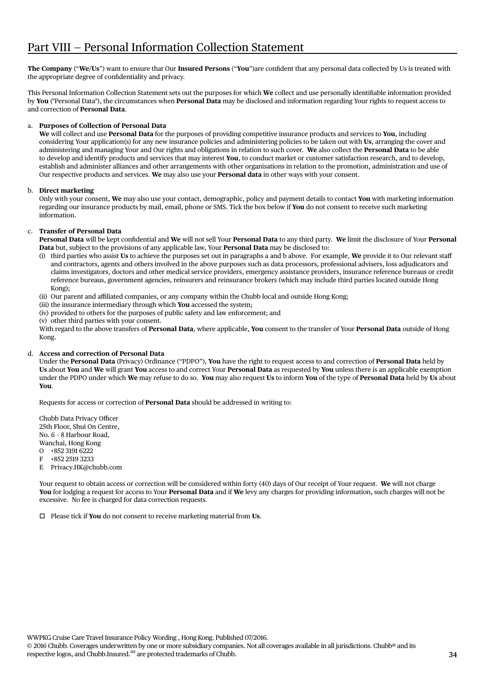**The Company** ("**We/Us**") want to ensure that Our **Insured Persons** ("**You**")are confident that any personal data collected by Us is treated with the appropriate degree of confidentiality and privacy.

This Personal Information Collection Statement sets out the purposes for which **We** collect and use personally identifiable information provided by **You** ("Personal Data"), the circumstances when **Personal Data** may be disclosed and information regarding Your rights to request access to and correction of **Personal Data**.

## a. **Purposes of Collection of Personal Data**

 **We** will collect and use **Personal Data** for the purposes of providing competitive insurance products and services to **You**, including considering Your application(s) for any new insurance policies and administering policies to be taken out with **Us**, arranging the cover and administering and managing Your and Our rights and obligations in relation to such cover. **We** also collect the **Personal Data** to be able to develop and identify products and services that may interest **You**, to conduct market or customer satisfaction research, and to develop, establish and administer alliances and other arrangements with other organisations in relation to the promotion, administration and use of Our respective products and services. **We** may also use your **Personal data** in other ways with your consent.

## b. **Direct marketing**

 Only with your consent, **We** may also use your contact, demographic, policy and payment details to contact **You** with marketing information regarding our insurance products by mail, email, phone or SMS. Tick the box below if **You** do not consent to receive such marketing information.

## c. **Transfer of Personal Data**

 **Personal Data** will be kept confidential and **We** will not sell Your **Personal Data** to any third party. **We** limit the disclosure of Your **Personal Data** but, subject to the provisions of any applicable law, Your **Personal Data** may be disclosed to:

- (i) third parties who assist **Us** to achieve the purposes set out in paragraphs a and b above. For example, **We** provide it to Our relevant staff and contractors, agents and others involved in the above purposes such as data processors, professional advisers, loss adjudicators and claims investigators, doctors and other medical service providers, emergency assistance providers, insurance reference bureaus or credit reference bureaus, government agencies, reinsurers and reinsurance brokers (which may include third parties located outside Hong Kong);
- (ii) Our parent and affiliated companies, or any company within the Chubb local and outside Hong Kong;
- (iii) the insurance intermediary through which **You** accessed the system;
- (iv) provided to others for the purposes of public safety and law enforcement; and

(v) other third parties with your consent.

 With regard to the above transfers of **Personal Data**, where applicable, **You** consent to the transfer of Your **Personal Data** outside of Hong Kong.

## d. **Access and correction of Personal Data**

 Under the **Personal Data** (Privacy) Ordinance ("PDPO"), **You** have the right to request access to and correction of **Personal Data** held by **Us** about **You** and **We** will grant **You** access to and correct Your **Personal Data** as requested by **You** unless there is an applicable exemption under the PDPO under which **We** may refuse to do so. **You** may also request **Us** to inform **You** of the type of **Personal Data** held by **Us** about **You**.

Requests for access or correction of **Personal Data** should be addressed in writing to:

Chubb Data Privacy Officer 25th Floor, Shui On Centre, No. 6 – 8 Harbour Road, Wanchai, Hong Kong O +852 3191 6222 F +852 2519 3233 E Privacy.HK@chubb.com

 Your request to obtain access or correction will be considered within forty (40) days of Our receipt of Your request. **We** will not charge **You** for lodging a request for access to Your **Personal Data** and if **We** levy any charges for providing information, such charges will not be excessive. No fee is charged for data correction requests.

 Please tick if **You** do not consent to receive marketing material from **Us**.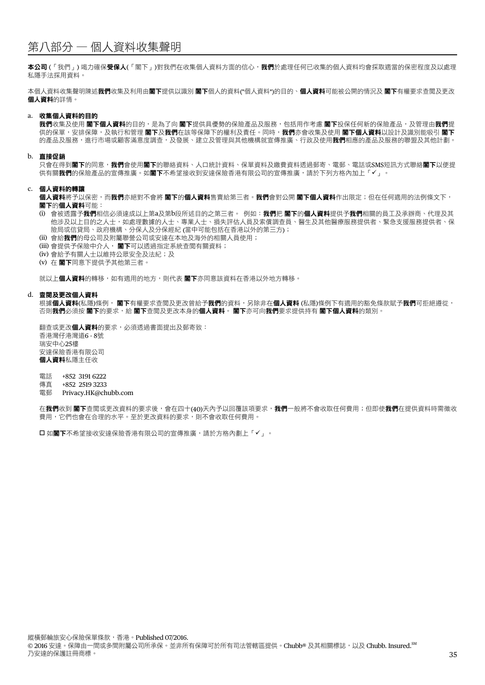## 第八部分 — 個人資料收集聲明

本公司 (「我們」) 竭力確保受保人(「閣下」)對我們在收集個人資料方面的信心,我們於處理任何已收集的個人資料均會採取適當的保密程度及以處理 私隱手法採用資料。

本個人資料收集聲明陳述**我們**收集及利用由**閣下**提供以識別 閣下個人的資料("個人資料")的目的、**個人資料**可能被公開的情況及 閣下有權要求查閲及更改 個人資料的詳情。

## a. 收集個人資料的目的

我們收集及使用 閣下個人資料的目的,是為了向 閣下提供具優勢的保險產品及服務,包括用作考慮 閣下投保任何新的保險產品,及管理由我們提 供的保單,安排保障,及執行和管理 **閣下**及**我們**在該等保障下的權利及責任。同時,**我們**亦會收集及使用 **閣下個人資料**以設計及識別能吸引 **閣下** 的產品及服務,進行市場或顧客滿意度調查,及發展、建立及管理與其他機構就宣傳推廣、行政及使用**我們**相應的產品及服務的聯盟及其他計劃。

#### b. 直接促銷

只會在得到**閣下**的同意,我們會使用閣下的聯絡資料、人口統計資料、保單資料及繳費資料透過郵寄、電郵、電話或SMS短訊方式聯絡閣下以便提 供有關我們的保險產品的宣傳推廣。如閣下不希望接收到安達保險香港有限公司的宣傳推廣,請於下列方格內加上「✔」。

#### c. 個人資料的轉讓

- 個人資料將予以保密,而我們亦絕對不會將 閣下的個人資料售賣給第三者。我們會對公開 閣下個人資料作出限定;但在任何適用的法例條文下, 閣下的個人資料可能:
- (i) 會被透露予我們相信必須達成以上第a及第b段所述目的之第三者。 例如:我們把 閣下的個人資料提供予我們相關的員工及承辦商、代理及其 他涉及以上目的之人士,如處理數據的人士、專業人士、損失評估人員及索償調查員、醫生及其他醫療服務提供者、緊急支援服務提供者、保 險局或信貸局、政府機構、分保人及分保經紀 (當中可能包括在香港以外的第三方);
- (ii) 會給我們的母公司及附屬聯營公司或安達在本地及海外的相關人員使用;
- (iii) 會提供予保險中介人, 閣下可以诱過指定系統查閱有關資料;
- (iv) 會給予有關人士以維持公眾安全及法紀;及
- (v) 在 閣下同意下提供予其他第三者。

就以上個人資料的轉移,如有適用的地方,則代表 閣下亦同意該資料在香港以外地方轉移。

#### d. 查閱及更改個人資料

根據個人資料(私隱)條例,閣下有權要求查閲及更改曾給予我們的資料,另除非在個人資料 (私隱)條例下有適用的豁免條款賦予我們可拒絕遵從, 否則我們必須按 閣下的要求,給 閣下查閲及更改本身的個人資料。 閣下亦可向我們要求提供持有 閣下個人資料的類別。

翻查或更改個人資料的要求,必須诱過書面提出及郵寄致: 香港灣仔港灣道6 - 8號 瑞安中心25樓 安達保險香港有限公司 個人資料私隱主任收

電話 +852 3191 6222

- 傳真 +852 2519 3233
- 電郵 Privacy.HK@chubb.com

在我們收到 閣下查閲或更改資料的要求後,會在四十(40)天內予以回覆該項要求,我們一般將不會收取任何費用;但即使我們在提供資料時需徵收 費用,它們也會在合理的水平。至於更改資料的要求,則不會收取任何費用。

□ 如閣下不希望接收安達保險香港有限公司的宣傳推廣,請於方格內劃上「✔」。